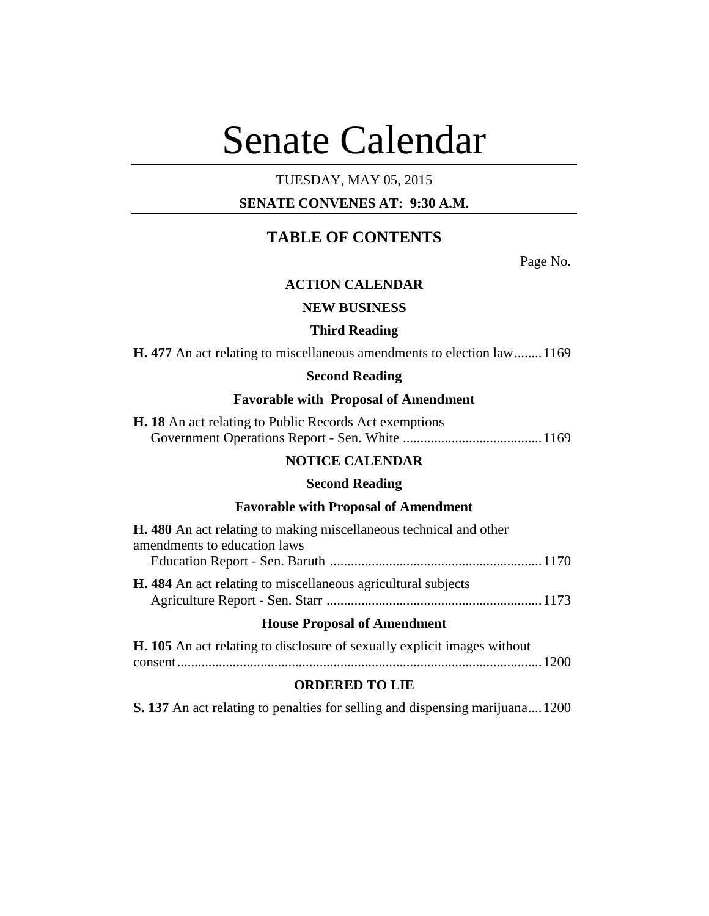# Senate Calendar

# TUESDAY, MAY 05, 2015

# **SENATE CONVENES AT: 9:30 A.M.**

# **TABLE OF CONTENTS**

Page No.

# **ACTION CALENDAR**

# **NEW BUSINESS**

#### **Third Reading**

**H. 477** An act relating to miscellaneous amendments to election law........1169

#### **Second Reading**

# **Favorable with Proposal of Amendment**

**H. 18** An act relating to Public Records Act exemptions Government Operations Report - Sen. White ........................................1169

### **NOTICE CALENDAR**

#### **Second Reading**

#### **Favorable with Proposal of Amendment**

|                              | <b>H.</b> 480 An act relating to making miscellaneous technical and other |  |
|------------------------------|---------------------------------------------------------------------------|--|
| amendments to education laws |                                                                           |  |
|                              |                                                                           |  |
|                              | <b>H.</b> 484 An act relating to miscellaneous agricultural subjects      |  |
|                              |                                                                           |  |

#### **House Proposal of Amendment**

| H. 105 An act relating to disclosure of sexually explicit images without |  |
|--------------------------------------------------------------------------|--|
|                                                                          |  |

#### **ORDERED TO LIE**

**S. 137** An act relating to penalties for selling and dispensing marijuana....1200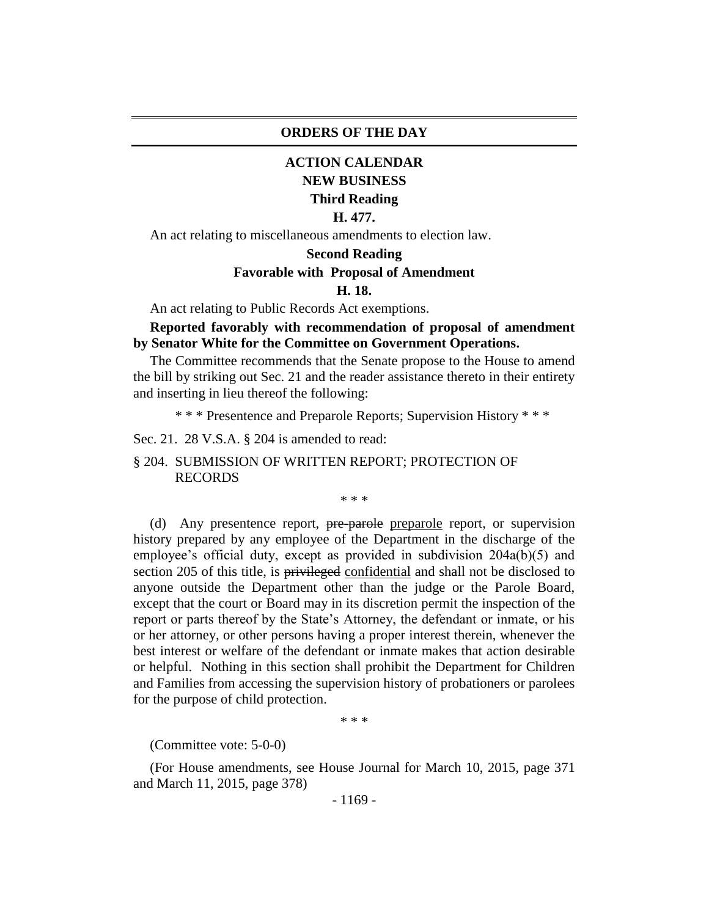#### **ORDERS OF THE DAY**

# **ACTION CALENDAR NEW BUSINESS Third Reading**

#### **H. 477.**

An act relating to miscellaneous amendments to election law.

#### **Second Reading**

#### **Favorable with Proposal of Amendment**

#### **H. 18.**

An act relating to Public Records Act exemptions.

# **Reported favorably with recommendation of proposal of amendment by Senator White for the Committee on Government Operations.**

The Committee recommends that the Senate propose to the House to amend the bill by striking out Sec. 21 and the reader assistance thereto in their entirety and inserting in lieu thereof the following:

\* \* \* Presentence and Preparole Reports; Supervision History \* \* \*

Sec. 21. 28 V.S.A. § 204 is amended to read:

§ 204. SUBMISSION OF WRITTEN REPORT; PROTECTION OF RECORDS

\* \* \*

(d) Any presentence report, pre-parole preparole report, or supervision history prepared by any employee of the Department in the discharge of the employee's official duty, except as provided in subdivision 204a(b)(5) and section 205 of this title, is privileged confidential and shall not be disclosed to anyone outside the Department other than the judge or the Parole Board, except that the court or Board may in its discretion permit the inspection of the report or parts thereof by the State's Attorney, the defendant or inmate, or his or her attorney, or other persons having a proper interest therein, whenever the best interest or welfare of the defendant or inmate makes that action desirable or helpful. Nothing in this section shall prohibit the Department for Children and Families from accessing the supervision history of probationers or parolees for the purpose of child protection.

\* \* \*

(Committee vote: 5-0-0)

(For House amendments, see House Journal for March 10, 2015, page 371 and March 11, 2015, page 378)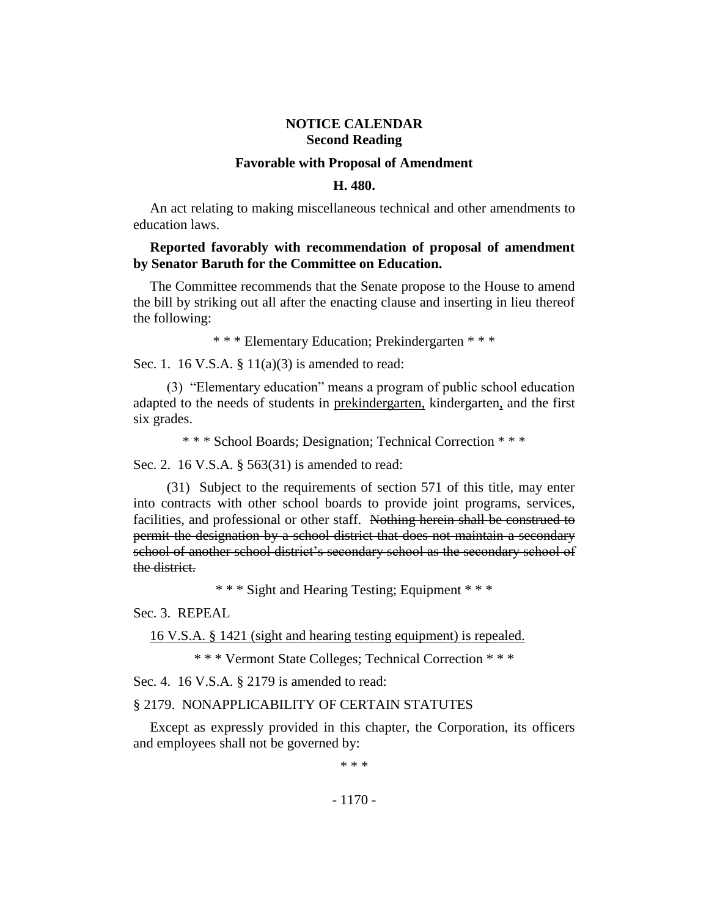# **NOTICE CALENDAR Second Reading**

#### **Favorable with Proposal of Amendment**

#### **H. 480.**

An act relating to making miscellaneous technical and other amendments to education laws.

#### **Reported favorably with recommendation of proposal of amendment by Senator Baruth for the Committee on Education.**

The Committee recommends that the Senate propose to the House to amend the bill by striking out all after the enacting clause and inserting in lieu thereof the following:

\* \* \* Elementary Education; Prekindergarten \* \* \*

Sec. 1. 16 V.S.A. § 11(a)(3) is amended to read:

(3) "Elementary education" means a program of public school education adapted to the needs of students in prekindergarten, kindergarten, and the first six grades.

\* \* \* School Boards; Designation; Technical Correction \* \* \*

Sec. 2. 16 V.S.A. § 563(31) is amended to read:

(31) Subject to the requirements of section 571 of this title, may enter into contracts with other school boards to provide joint programs, services, facilities, and professional or other staff. Nothing herein shall be construed to permit the designation by a school district that does not maintain a secondary school of another school district's secondary school as the secondary school of the district.

\* \* \* Sight and Hearing Testing; Equipment \* \* \*

Sec. 3. REPEAL

16 V.S.A. § 1421 (sight and hearing testing equipment) is repealed.

\* \* \* Vermont State Colleges; Technical Correction \* \* \*

Sec. 4. 16 V.S.A. § 2179 is amended to read:

#### § 2179. NONAPPLICABILITY OF CERTAIN STATUTES

Except as expressly provided in this chapter, the Corporation, its officers and employees shall not be governed by:

\* \* \*

- 1170 -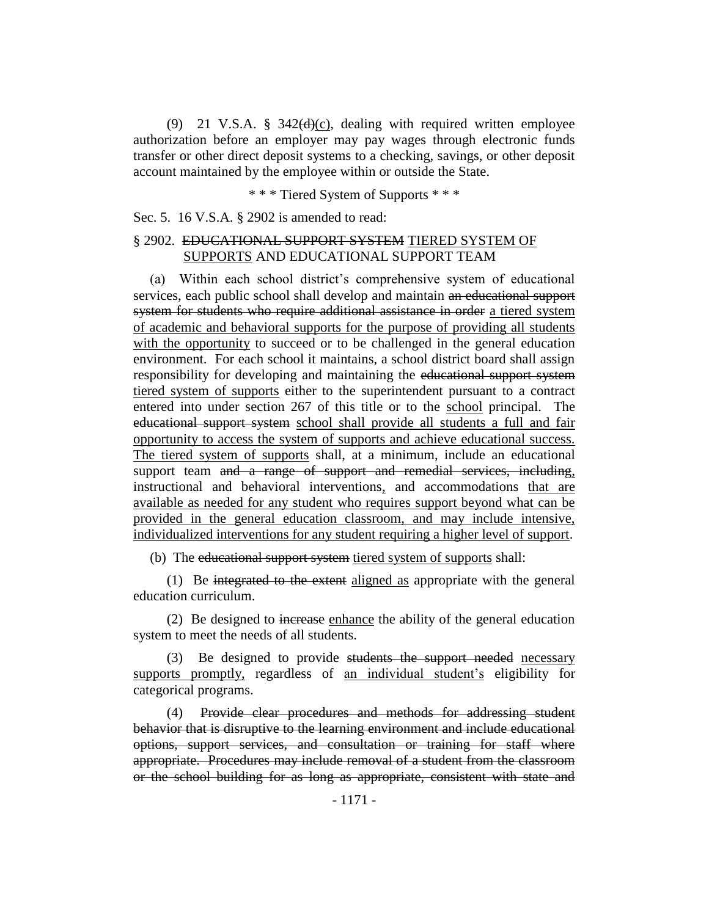(9) 21 V.S.A.  $\frac{8}{9}$  342(d)(c), dealing with required written employee authorization before an employer may pay wages through electronic funds transfer or other direct deposit systems to a checking, savings, or other deposit account maintained by the employee within or outside the State.

\* \* \* Tiered System of Supports \* \* \*

Sec. 5. 16 V.S.A. § 2902 is amended to read:

# § 2902. EDUCATIONAL SUPPORT SYSTEM TIERED SYSTEM OF SUPPORTS AND EDUCATIONAL SUPPORT TEAM

(a) Within each school district's comprehensive system of educational services, each public school shall develop and maintain an educational support system for students who require additional assistance in order a tiered system of academic and behavioral supports for the purpose of providing all students with the opportunity to succeed or to be challenged in the general education environment. For each school it maintains, a school district board shall assign responsibility for developing and maintaining the educational support system tiered system of supports either to the superintendent pursuant to a contract entered into under section 267 of this title or to the school principal. The educational support system school shall provide all students a full and fair opportunity to access the system of supports and achieve educational success. The tiered system of supports shall, at a minimum, include an educational support team and a range of support and remedial services, including, instructional and behavioral interventions, and accommodations that are available as needed for any student who requires support beyond what can be provided in the general education classroom, and may include intensive, individualized interventions for any student requiring a higher level of support.

(b) The educational support system tiered system of supports shall:

(1) Be integrated to the extent aligned as appropriate with the general education curriculum.

(2) Be designed to increase enhance the ability of the general education system to meet the needs of all students.

(3) Be designed to provide students the support needed necessary supports promptly, regardless of an individual student's eligibility for categorical programs.

(4) Provide clear procedures and methods for addressing student behavior that is disruptive to the learning environment and include educational options, support services, and consultation or training for staff where appropriate. Procedures may include removal of a student from the classroom or the school building for as long as appropriate, consistent with state and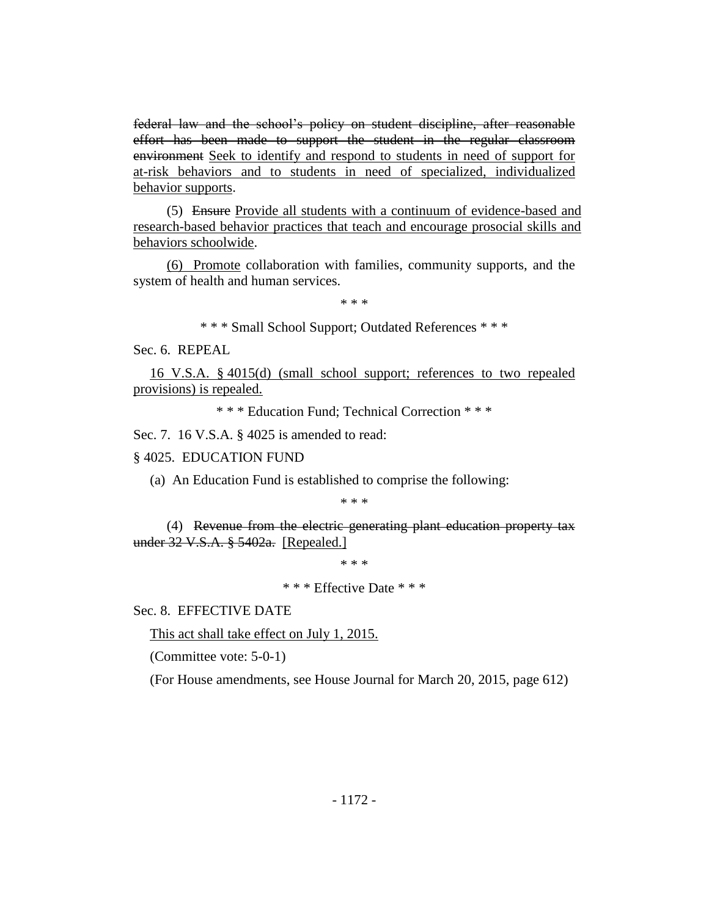federal law and the school's policy on student discipline, after reasonable effort has been made to support the student in the regular classroom environment Seek to identify and respond to students in need of support for at-risk behaviors and to students in need of specialized, individualized behavior supports.

(5) Ensure Provide all students with a continuum of evidence-based and research-based behavior practices that teach and encourage prosocial skills and behaviors schoolwide.

(6) Promote collaboration with families, community supports, and the system of health and human services.

\* \* \*

\* \* \* Small School Support; Outdated References \* \* \*

Sec. 6. REPEAL

16 V.S.A. § 4015(d) (small school support; references to two repealed provisions) is repealed.

\* \* \* Education Fund; Technical Correction \* \* \*

Sec. 7. 16 V.S.A. § 4025 is amended to read:

#### § 4025. EDUCATION FUND

(a) An Education Fund is established to comprise the following:

\* \* \*

(4) Revenue from the electric generating plant education property tax under 32 V.S.A. § 5402a. [Repealed.]

\* \* \*

\* \* \* Effective Date \* \* \*

Sec. 8. EFFECTIVE DATE

This act shall take effect on July 1, 2015.

(Committee vote: 5-0-1)

(For House amendments, see House Journal for March 20, 2015, page 612)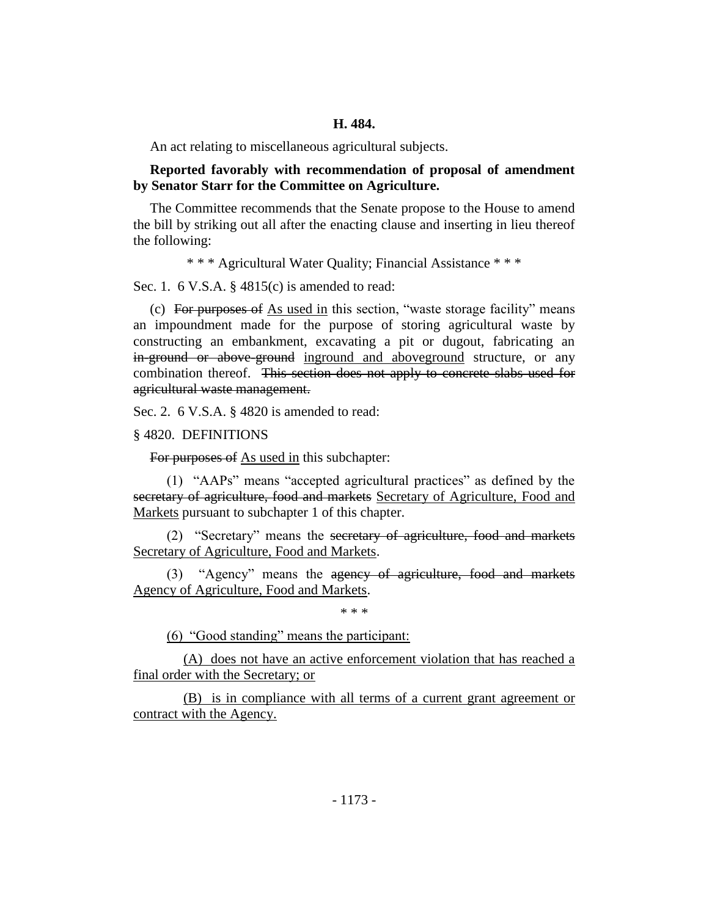An act relating to miscellaneous agricultural subjects.

**Reported favorably with recommendation of proposal of amendment by Senator Starr for the Committee on Agriculture.**

The Committee recommends that the Senate propose to the House to amend the bill by striking out all after the enacting clause and inserting in lieu thereof the following:

\* \* \* Agricultural Water Quality; Financial Assistance \* \* \*

Sec. 1. 6 V.S.A. § 4815(c) is amended to read:

(c) For purposes of  $\Delta s$  used in this section, "waste storage facility" means an impoundment made for the purpose of storing agricultural waste by constructing an embankment, excavating a pit or dugout, fabricating an in-ground or above-ground inground and aboveground structure, or any combination thereof. This section does not apply to concrete slabs used for agricultural waste management.

Sec. 2. 6 V.S.A. § 4820 is amended to read:

§ 4820. DEFINITIONS

For purposes of As used in this subchapter:

(1) "AAPs" means "accepted agricultural practices" as defined by the secretary of agriculture, food and markets Secretary of Agriculture, Food and Markets pursuant to subchapter 1 of this chapter.

(2) "Secretary" means the secretary of agriculture, food and markets Secretary of Agriculture, Food and Markets.

(3) "Agency" means the agency of agriculture, food and markets Agency of Agriculture, Food and Markets.

\* \* \*

(6) "Good standing" means the participant:

(A) does not have an active enforcement violation that has reached a final order with the Secretary; or

(B) is in compliance with all terms of a current grant agreement or contract with the Agency.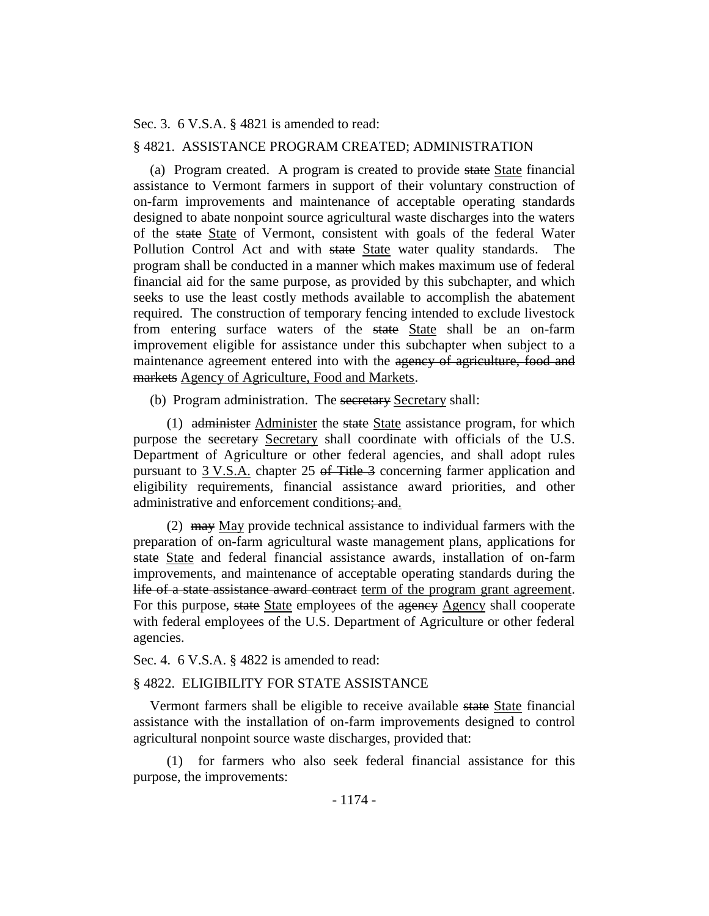Sec. 3. 6 V.S.A. § 4821 is amended to read:

#### § 4821. ASSISTANCE PROGRAM CREATED; ADMINISTRATION

(a) Program created. A program is created to provide state State financial assistance to Vermont farmers in support of their voluntary construction of on-farm improvements and maintenance of acceptable operating standards designed to abate nonpoint source agricultural waste discharges into the waters of the state State of Vermont, consistent with goals of the federal Water Pollution Control Act and with state State water quality standards. The program shall be conducted in a manner which makes maximum use of federal financial aid for the same purpose, as provided by this subchapter, and which seeks to use the least costly methods available to accomplish the abatement required. The construction of temporary fencing intended to exclude livestock from entering surface waters of the state State shall be an on-farm improvement eligible for assistance under this subchapter when subject to a maintenance agreement entered into with the agency of agriculture, food and markets Agency of Agriculture, Food and Markets.

(b) Program administration. The secretary Secretary shall:

(1) administer Administer the state State assistance program, for which purpose the secretary Secretary shall coordinate with officials of the U.S. Department of Agriculture or other federal agencies, and shall adopt rules pursuant to 3 V.S.A. chapter 25 of Title 3 concerning farmer application and eligibility requirements, financial assistance award priorities, and other administrative and enforcement conditions; and.

(2)  $\mu$  may May provide technical assistance to individual farmers with the preparation of on-farm agricultural waste management plans, applications for state State and federal financial assistance awards, installation of on-farm improvements, and maintenance of acceptable operating standards during the life of a state assistance award contract term of the program grant agreement. For this purpose, state State employees of the agency Agency shall cooperate with federal employees of the U.S. Department of Agriculture or other federal agencies.

Sec. 4. 6 V.S.A. § 4822 is amended to read:

#### § 4822. ELIGIBILITY FOR STATE ASSISTANCE

Vermont farmers shall be eligible to receive available state State financial assistance with the installation of on-farm improvements designed to control agricultural nonpoint source waste discharges, provided that:

(1) for farmers who also seek federal financial assistance for this purpose, the improvements: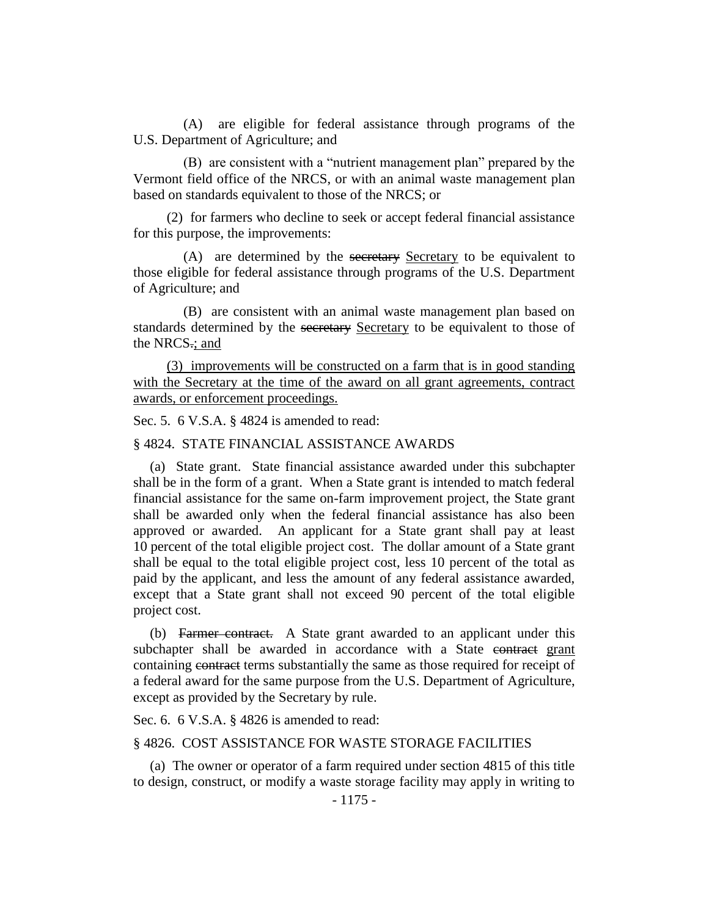(A) are eligible for federal assistance through programs of the U.S. Department of Agriculture; and

(B) are consistent with a "nutrient management plan" prepared by the Vermont field office of the NRCS, or with an animal waste management plan based on standards equivalent to those of the NRCS; or

(2) for farmers who decline to seek or accept federal financial assistance for this purpose, the improvements:

(A) are determined by the secretary Secretary to be equivalent to those eligible for federal assistance through programs of the U.S. Department of Agriculture; and

(B) are consistent with an animal waste management plan based on standards determined by the secretary Secretary to be equivalent to those of the NRCS.; and

(3) improvements will be constructed on a farm that is in good standing with the Secretary at the time of the award on all grant agreements, contract awards, or enforcement proceedings.

Sec. 5. 6 V.S.A. § 4824 is amended to read:

#### § 4824. STATE FINANCIAL ASSISTANCE AWARDS

(a) State grant. State financial assistance awarded under this subchapter shall be in the form of a grant. When a State grant is intended to match federal financial assistance for the same on-farm improvement project, the State grant shall be awarded only when the federal financial assistance has also been approved or awarded. An applicant for a State grant shall pay at least 10 percent of the total eligible project cost. The dollar amount of a State grant shall be equal to the total eligible project cost, less 10 percent of the total as paid by the applicant, and less the amount of any federal assistance awarded, except that a State grant shall not exceed 90 percent of the total eligible project cost.

(b) Farmer contract. A State grant awarded to an applicant under this subchapter shall be awarded in accordance with a State contract grant containing contract terms substantially the same as those required for receipt of a federal award for the same purpose from the U.S. Department of Agriculture, except as provided by the Secretary by rule.

Sec. 6. 6 V.S.A. § 4826 is amended to read:

#### § 4826. COST ASSISTANCE FOR WASTE STORAGE FACILITIES

(a) The owner or operator of a farm required under section 4815 of this title to design, construct, or modify a waste storage facility may apply in writing to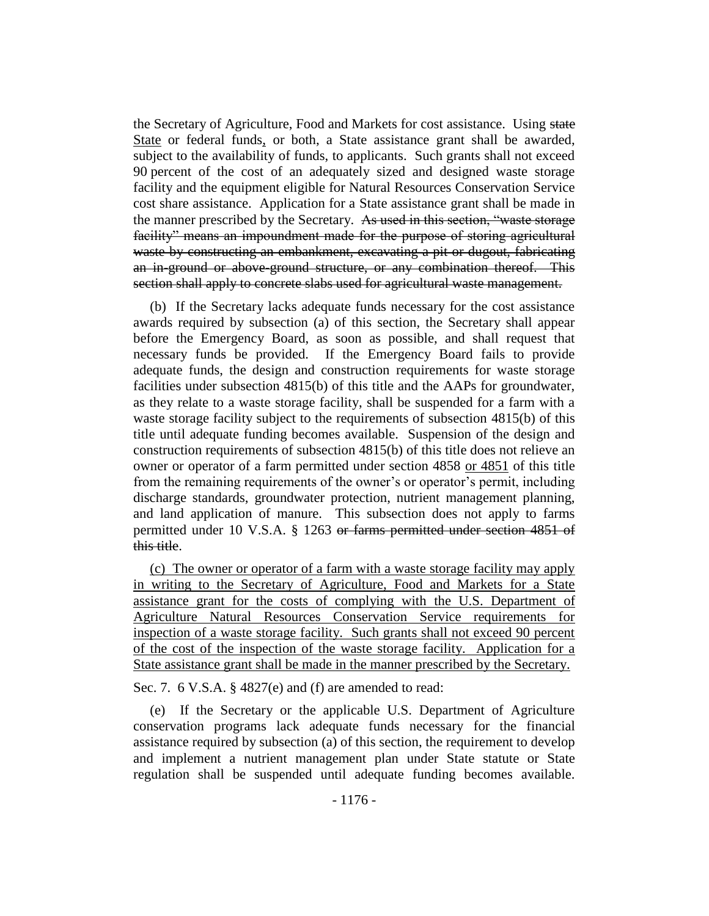the Secretary of Agriculture, Food and Markets for cost assistance. Using state State or federal funds, or both, a State assistance grant shall be awarded, subject to the availability of funds, to applicants. Such grants shall not exceed 90 percent of the cost of an adequately sized and designed waste storage facility and the equipment eligible for Natural Resources Conservation Service cost share assistance. Application for a State assistance grant shall be made in the manner prescribed by the Secretary. As used in this section, "waste storage facility" means an impoundment made for the purpose of storing agricultural waste by constructing an embankment, excavating a pit or dugout, fabricating an in-ground or above-ground structure, or any combination thereof. This section shall apply to concrete slabs used for agricultural waste management.

(b) If the Secretary lacks adequate funds necessary for the cost assistance awards required by subsection (a) of this section, the Secretary shall appear before the Emergency Board, as soon as possible, and shall request that necessary funds be provided. If the Emergency Board fails to provide adequate funds, the design and construction requirements for waste storage facilities under subsection 4815(b) of this title and the AAPs for groundwater, as they relate to a waste storage facility, shall be suspended for a farm with a waste storage facility subject to the requirements of subsection 4815(b) of this title until adequate funding becomes available. Suspension of the design and construction requirements of subsection 4815(b) of this title does not relieve an owner or operator of a farm permitted under section 4858 or 4851 of this title from the remaining requirements of the owner's or operator's permit, including discharge standards, groundwater protection, nutrient management planning, and land application of manure. This subsection does not apply to farms permitted under 10 V.S.A. § 1263 or farms permitted under section 4851 of this title.

(c) The owner or operator of a farm with a waste storage facility may apply in writing to the Secretary of Agriculture, Food and Markets for a State assistance grant for the costs of complying with the U.S. Department of Agriculture Natural Resources Conservation Service requirements for inspection of a waste storage facility. Such grants shall not exceed 90 percent of the cost of the inspection of the waste storage facility. Application for a State assistance grant shall be made in the manner prescribed by the Secretary.

Sec. 7. 6 V.S.A. § 4827(e) and (f) are amended to read:

(e) If the Secretary or the applicable U.S. Department of Agriculture conservation programs lack adequate funds necessary for the financial assistance required by subsection (a) of this section, the requirement to develop and implement a nutrient management plan under State statute or State regulation shall be suspended until adequate funding becomes available.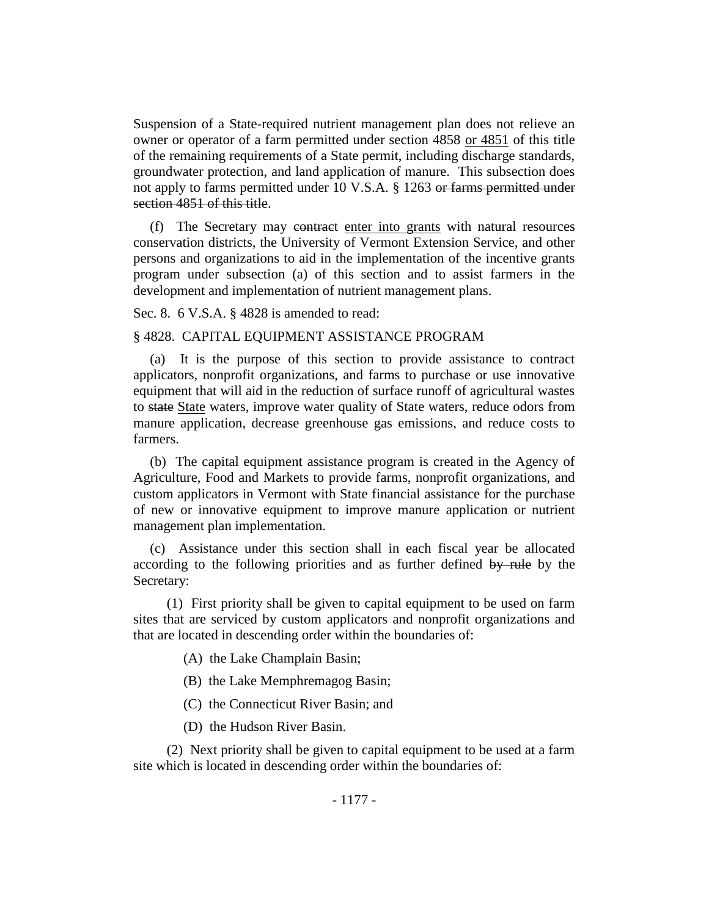Suspension of a State-required nutrient management plan does not relieve an owner or operator of a farm permitted under section 4858 or 4851 of this title of the remaining requirements of a State permit, including discharge standards, groundwater protection, and land application of manure. This subsection does not apply to farms permitted under 10 V.S.A. § 1263 or farms permitted under section 4851 of this title.

(f) The Secretary may contract enter into grants with natural resources conservation districts, the University of Vermont Extension Service, and other persons and organizations to aid in the implementation of the incentive grants program under subsection (a) of this section and to assist farmers in the development and implementation of nutrient management plans.

Sec. 8. 6 V.S.A. § 4828 is amended to read:

#### § 4828. CAPITAL EQUIPMENT ASSISTANCE PROGRAM

(a) It is the purpose of this section to provide assistance to contract applicators, nonprofit organizations, and farms to purchase or use innovative equipment that will aid in the reduction of surface runoff of agricultural wastes to state State waters, improve water quality of State waters, reduce odors from manure application, decrease greenhouse gas emissions, and reduce costs to farmers.

(b) The capital equipment assistance program is created in the Agency of Agriculture, Food and Markets to provide farms, nonprofit organizations, and custom applicators in Vermont with State financial assistance for the purchase of new or innovative equipment to improve manure application or nutrient management plan implementation.

(c) Assistance under this section shall in each fiscal year be allocated according to the following priorities and as further defined by rule by the Secretary:

(1) First priority shall be given to capital equipment to be used on farm sites that are serviced by custom applicators and nonprofit organizations and that are located in descending order within the boundaries of:

- (A) the Lake Champlain Basin;
- (B) the Lake Memphremagog Basin;
- (C) the Connecticut River Basin; and
- (D) the Hudson River Basin.

(2) Next priority shall be given to capital equipment to be used at a farm site which is located in descending order within the boundaries of: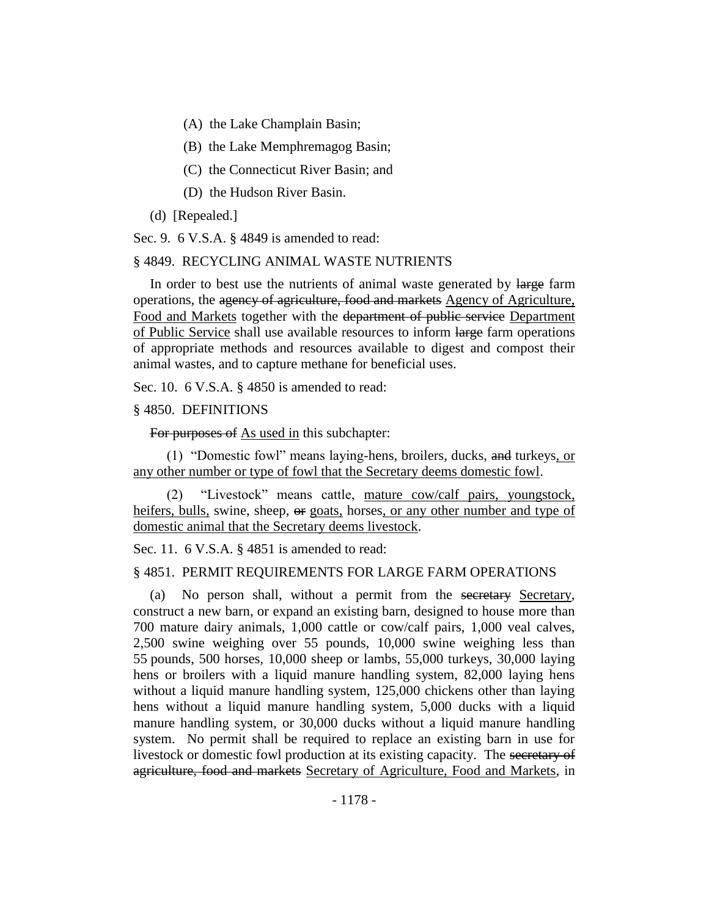- (A) the Lake Champlain Basin;
- (B) the Lake Memphremagog Basin;
- (C) the Connecticut River Basin; and
- (D) the Hudson River Basin.
- (d) [Repealed.]

Sec. 9. 6 V.S.A. § 4849 is amended to read:

#### § 4849. RECYCLING ANIMAL WASTE NUTRIENTS

In order to best use the nutrients of animal waste generated by large farm operations, the agency of agriculture, food and markets Agency of Agriculture, Food and Markets together with the department of public service Department of Public Service shall use available resources to inform large farm operations of appropriate methods and resources available to digest and compost their animal wastes, and to capture methane for beneficial uses.

Sec. 10. 6 V.S.A. § 4850 is amended to read:

#### § 4850. DEFINITIONS

For purposes of As used in this subchapter:

(1) "Domestic fowl" means laying-hens, broilers, ducks, and turkeys, or any other number or type of fowl that the Secretary deems domestic fowl.

(2) "Livestock" means cattle, mature cow/calf pairs, youngstock, heifers, bulls, swine, sheep,  $\Theta$  goats, horses, or any other number and type of domestic animal that the Secretary deems livestock.

Sec. 11. 6 V.S.A. § 4851 is amended to read:

# § 4851. PERMIT REQUIREMENTS FOR LARGE FARM OPERATIONS

(a) No person shall, without a permit from the secretary Secretary, construct a new barn, or expand an existing barn, designed to house more than 700 mature dairy animals, 1,000 cattle or cow/calf pairs, 1,000 veal calves, 2,500 swine weighing over 55 pounds, 10,000 swine weighing less than 55 pounds, 500 horses, 10,000 sheep or lambs, 55,000 turkeys, 30,000 laying hens or broilers with a liquid manure handling system, 82,000 laying hens without a liquid manure handling system, 125,000 chickens other than laying hens without a liquid manure handling system, 5,000 ducks with a liquid manure handling system, or 30,000 ducks without a liquid manure handling system. No permit shall be required to replace an existing barn in use for livestock or domestic fowl production at its existing capacity. The secretary of agriculture, food and markets Secretary of Agriculture, Food and Markets, in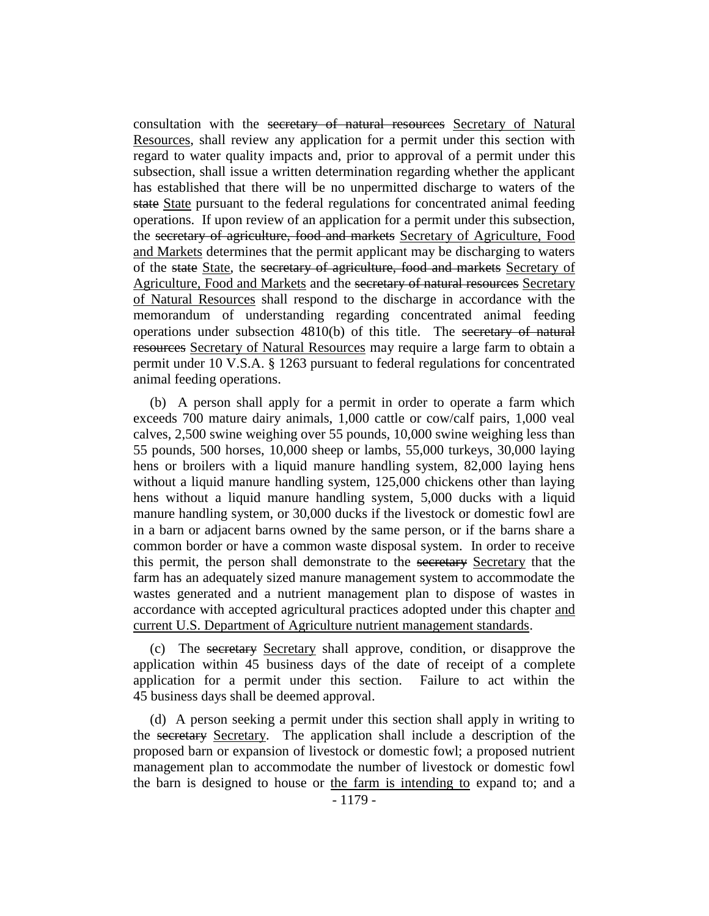consultation with the secretary of natural resources Secretary of Natural Resources, shall review any application for a permit under this section with regard to water quality impacts and, prior to approval of a permit under this subsection, shall issue a written determination regarding whether the applicant has established that there will be no unpermitted discharge to waters of the state State pursuant to the federal regulations for concentrated animal feeding operations. If upon review of an application for a permit under this subsection, the secretary of agriculture, food and markets Secretary of Agriculture, Food and Markets determines that the permit applicant may be discharging to waters of the state State, the secretary of agriculture, food and markets Secretary of Agriculture, Food and Markets and the secretary of natural resources Secretary of Natural Resources shall respond to the discharge in accordance with the memorandum of understanding regarding concentrated animal feeding operations under subsection 4810(b) of this title. The secretary of natural resources Secretary of Natural Resources may require a large farm to obtain a permit under 10 V.S.A. § 1263 pursuant to federal regulations for concentrated animal feeding operations.

(b) A person shall apply for a permit in order to operate a farm which exceeds 700 mature dairy animals, 1,000 cattle or cow/calf pairs, 1,000 veal calves, 2,500 swine weighing over 55 pounds, 10,000 swine weighing less than 55 pounds, 500 horses, 10,000 sheep or lambs, 55,000 turkeys, 30,000 laying hens or broilers with a liquid manure handling system, 82,000 laying hens without a liquid manure handling system, 125,000 chickens other than laying hens without a liquid manure handling system, 5,000 ducks with a liquid manure handling system, or 30,000 ducks if the livestock or domestic fowl are in a barn or adjacent barns owned by the same person, or if the barns share a common border or have a common waste disposal system. In order to receive this permit, the person shall demonstrate to the secretary Secretary that the farm has an adequately sized manure management system to accommodate the wastes generated and a nutrient management plan to dispose of wastes in accordance with accepted agricultural practices adopted under this chapter and current U.S. Department of Agriculture nutrient management standards.

(c) The secretary Secretary shall approve, condition, or disapprove the application within 45 business days of the date of receipt of a complete application for a permit under this section. Failure to act within the 45 business days shall be deemed approval.

(d) A person seeking a permit under this section shall apply in writing to the secretary Secretary. The application shall include a description of the proposed barn or expansion of livestock or domestic fowl; a proposed nutrient management plan to accommodate the number of livestock or domestic fowl the barn is designed to house or the farm is intending to expand to; and a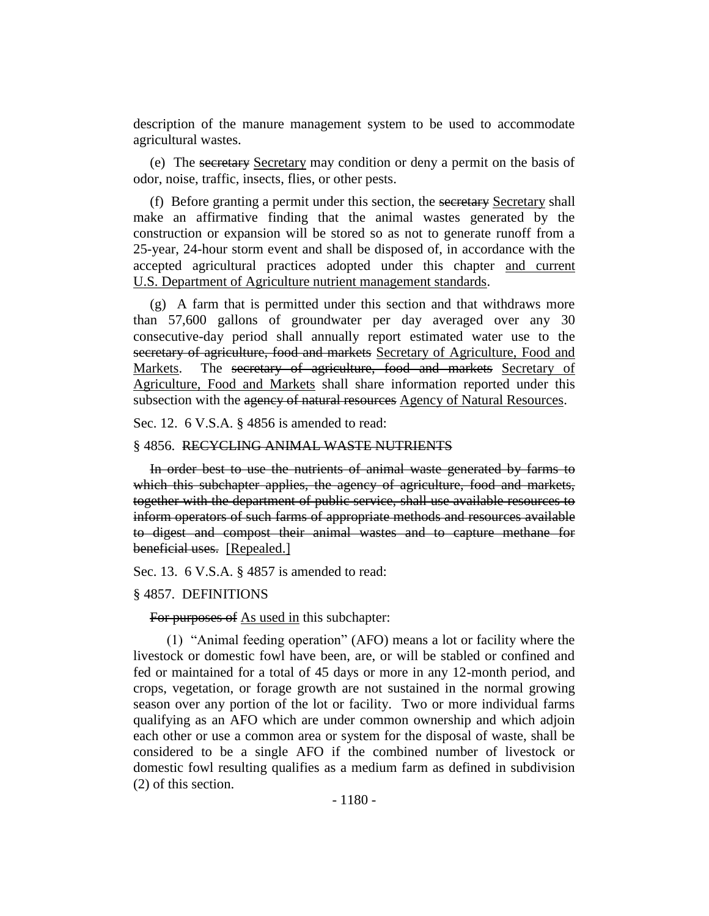description of the manure management system to be used to accommodate agricultural wastes.

(e) The secretary Secretary may condition or deny a permit on the basis of odor, noise, traffic, insects, flies, or other pests.

(f) Before granting a permit under this section, the secretary Secretary shall make an affirmative finding that the animal wastes generated by the construction or expansion will be stored so as not to generate runoff from a 25-year, 24-hour storm event and shall be disposed of, in accordance with the accepted agricultural practices adopted under this chapter and current U.S. Department of Agriculture nutrient management standards.

(g) A farm that is permitted under this section and that withdraws more than 57,600 gallons of groundwater per day averaged over any 30 consecutive-day period shall annually report estimated water use to the secretary of agriculture, food and markets Secretary of Agriculture, Food and Markets. The secretary of agriculture, food and markets Secretary of Agriculture, Food and Markets shall share information reported under this subsection with the agency of natural resources Agency of Natural Resources.

Sec. 12. 6 V.S.A. § 4856 is amended to read:

#### § 4856. RECYCLING ANIMAL WASTE NUTRIENTS

In order best to use the nutrients of animal waste generated by farms to which this subchapter applies, the agency of agriculture, food and markets, together with the department of public service, shall use available resources to inform operators of such farms of appropriate methods and resources available to digest and compost their animal wastes and to capture methane for beneficial uses. [Repealed.]

Sec. 13. 6 V.S.A. § 4857 is amended to read:

#### § 4857. DEFINITIONS

For purposes of As used in this subchapter:

(1) "Animal feeding operation" (AFO) means a lot or facility where the livestock or domestic fowl have been, are, or will be stabled or confined and fed or maintained for a total of 45 days or more in any 12-month period, and crops, vegetation, or forage growth are not sustained in the normal growing season over any portion of the lot or facility. Two or more individual farms qualifying as an AFO which are under common ownership and which adjoin each other or use a common area or system for the disposal of waste, shall be considered to be a single AFO if the combined number of livestock or domestic fowl resulting qualifies as a medium farm as defined in subdivision (2) of this section.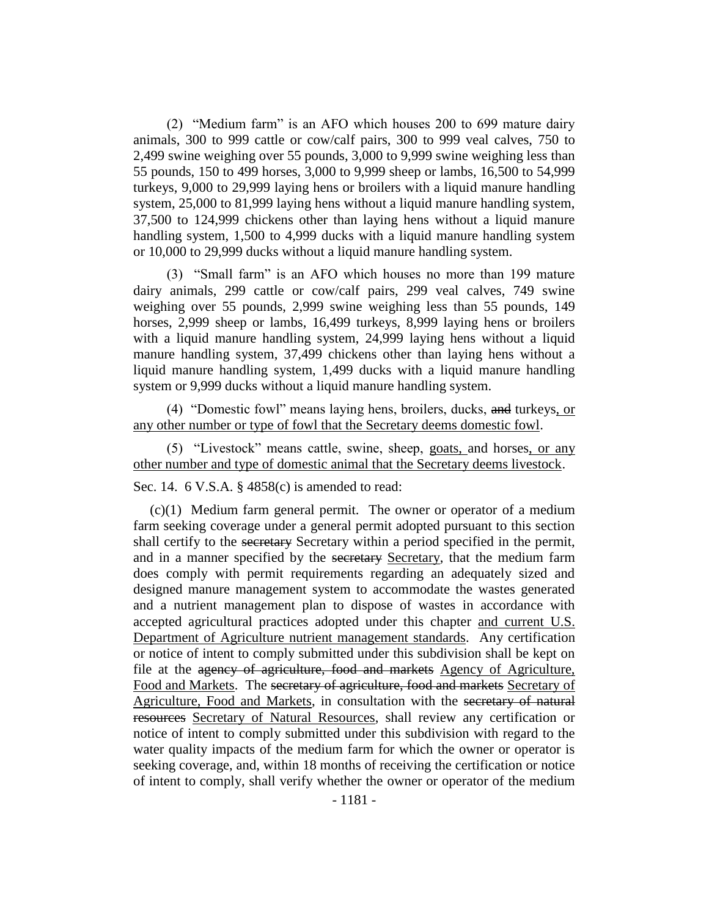(2) "Medium farm" is an AFO which houses 200 to 699 mature dairy animals, 300 to 999 cattle or cow/calf pairs, 300 to 999 veal calves, 750 to 2,499 swine weighing over 55 pounds, 3,000 to 9,999 swine weighing less than 55 pounds, 150 to 499 horses, 3,000 to 9,999 sheep or lambs, 16,500 to 54,999 turkeys, 9,000 to 29,999 laying hens or broilers with a liquid manure handling system, 25,000 to 81,999 laying hens without a liquid manure handling system, 37,500 to 124,999 chickens other than laying hens without a liquid manure handling system, 1,500 to 4,999 ducks with a liquid manure handling system or 10,000 to 29,999 ducks without a liquid manure handling system.

(3) "Small farm" is an AFO which houses no more than 199 mature dairy animals, 299 cattle or cow/calf pairs, 299 veal calves, 749 swine weighing over 55 pounds, 2,999 swine weighing less than 55 pounds, 149 horses, 2,999 sheep or lambs, 16,499 turkeys, 8,999 laying hens or broilers with a liquid manure handling system, 24,999 laying hens without a liquid manure handling system, 37,499 chickens other than laying hens without a liquid manure handling system, 1,499 ducks with a liquid manure handling system or 9,999 ducks without a liquid manure handling system.

(4) "Domestic fowl" means laying hens, broilers, ducks, and turkeys, or any other number or type of fowl that the Secretary deems domestic fowl.

(5) "Livestock" means cattle, swine, sheep, goats, and horses, or any other number and type of domestic animal that the Secretary deems livestock.

Sec. 14. 6 V.S.A. § 4858(c) is amended to read:

(c)(1) Medium farm general permit. The owner or operator of a medium farm seeking coverage under a general permit adopted pursuant to this section shall certify to the secretary Secretary within a period specified in the permit, and in a manner specified by the secretary Secretary, that the medium farm does comply with permit requirements regarding an adequately sized and designed manure management system to accommodate the wastes generated and a nutrient management plan to dispose of wastes in accordance with accepted agricultural practices adopted under this chapter and current U.S. Department of Agriculture nutrient management standards. Any certification or notice of intent to comply submitted under this subdivision shall be kept on file at the agency of agriculture, food and markets Agency of Agriculture, Food and Markets. The secretary of agriculture, food and markets Secretary of Agriculture, Food and Markets, in consultation with the secretary of natural resources Secretary of Natural Resources, shall review any certification or notice of intent to comply submitted under this subdivision with regard to the water quality impacts of the medium farm for which the owner or operator is seeking coverage, and, within 18 months of receiving the certification or notice of intent to comply, shall verify whether the owner or operator of the medium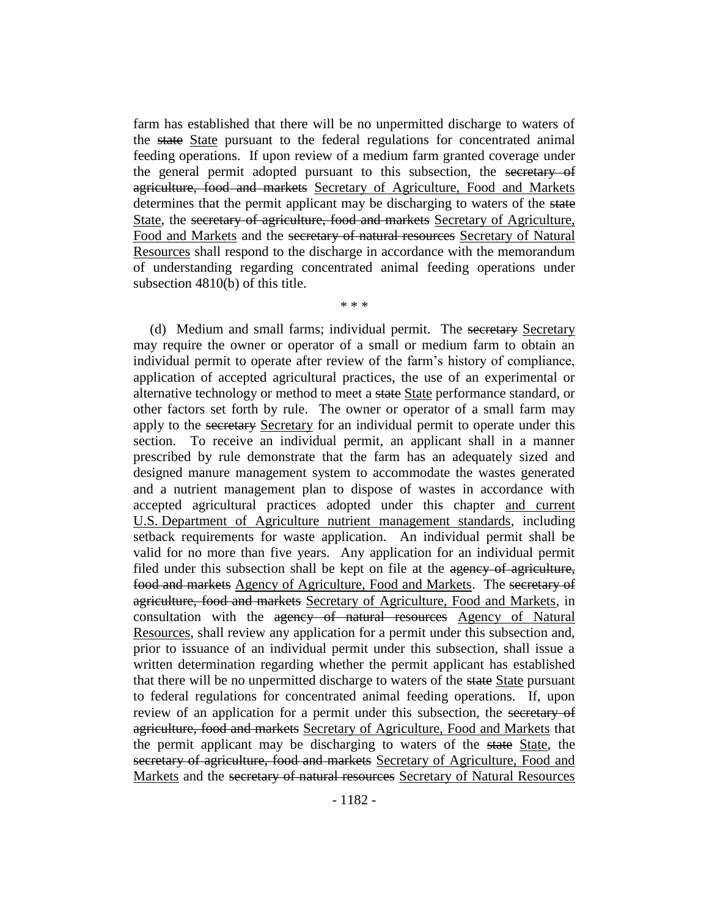farm has established that there will be no unpermitted discharge to waters of the state State pursuant to the federal regulations for concentrated animal feeding operations. If upon review of a medium farm granted coverage under the general permit adopted pursuant to this subsection, the secretary of agriculture, food and markets Secretary of Agriculture, Food and Markets determines that the permit applicant may be discharging to waters of the state State, the secretary of agriculture, food and markets Secretary of Agriculture, Food and Markets and the secretary of natural resources Secretary of Natural Resources shall respond to the discharge in accordance with the memorandum of understanding regarding concentrated animal feeding operations under subsection 4810(b) of this title.

\* \* \*

(d) Medium and small farms; individual permit. The secretary Secretary may require the owner or operator of a small or medium farm to obtain an individual permit to operate after review of the farm's history of compliance, application of accepted agricultural practices, the use of an experimental or alternative technology or method to meet a state State performance standard, or other factors set forth by rule. The owner or operator of a small farm may apply to the secretary Secretary for an individual permit to operate under this section. To receive an individual permit, an applicant shall in a manner prescribed by rule demonstrate that the farm has an adequately sized and designed manure management system to accommodate the wastes generated and a nutrient management plan to dispose of wastes in accordance with accepted agricultural practices adopted under this chapter and current U.S. Department of Agriculture nutrient management standards, including setback requirements for waste application. An individual permit shall be valid for no more than five years. Any application for an individual permit filed under this subsection shall be kept on file at the agency of agriculture, food and markets Agency of Agriculture, Food and Markets. The secretary of agriculture, food and markets Secretary of Agriculture, Food and Markets, in consultation with the agency of natural resources Agency of Natural Resources, shall review any application for a permit under this subsection and, prior to issuance of an individual permit under this subsection, shall issue a written determination regarding whether the permit applicant has established that there will be no unpermitted discharge to waters of the state State pursuant to federal regulations for concentrated animal feeding operations. If, upon review of an application for a permit under this subsection, the secretary of agriculture, food and markets Secretary of Agriculture, Food and Markets that the permit applicant may be discharging to waters of the state State, the secretary of agriculture, food and markets Secretary of Agriculture, Food and Markets and the secretary of natural resources Secretary of Natural Resources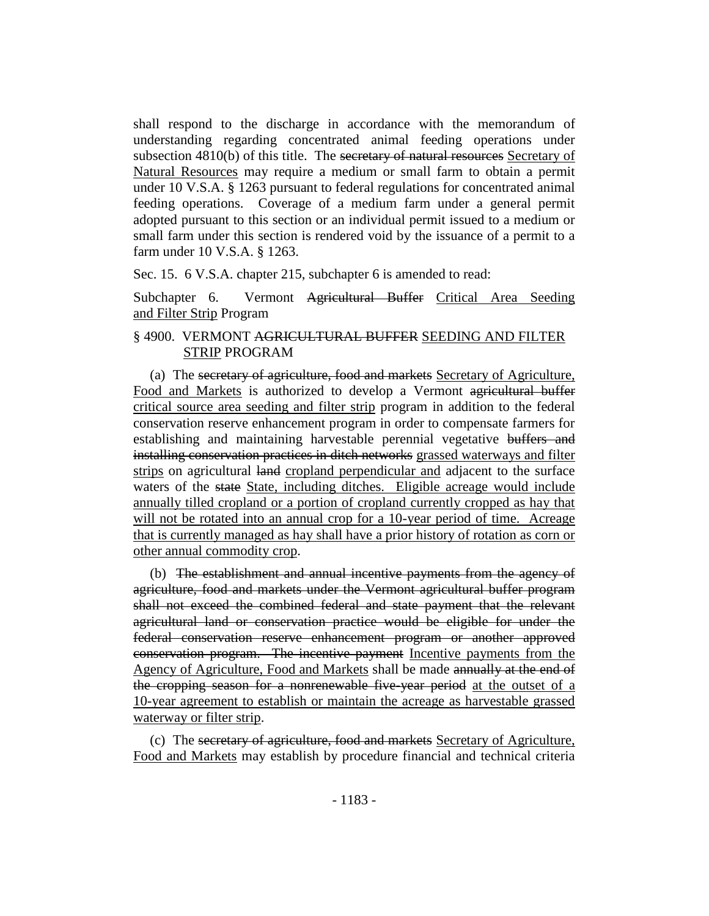shall respond to the discharge in accordance with the memorandum of understanding regarding concentrated animal feeding operations under subsection 4810(b) of this title. The secretary of natural resources Secretary of Natural Resources may require a medium or small farm to obtain a permit under 10 V.S.A. § 1263 pursuant to federal regulations for concentrated animal feeding operations. Coverage of a medium farm under a general permit adopted pursuant to this section or an individual permit issued to a medium or small farm under this section is rendered void by the issuance of a permit to a farm under 10 V.S.A. § 1263.

Sec. 15. 6 V.S.A. chapter 215, subchapter 6 is amended to read:

Subchapter 6. Vermont Agricultural Buffer Critical Area Seeding and Filter Strip Program

# § 4900. VERMONT AGRICULTURAL BUFFER SEEDING AND FILTER STRIP PROGRAM

(a) The secretary of agriculture, food and markets Secretary of Agriculture, Food and Markets is authorized to develop a Vermont agricultural buffer critical source area seeding and filter strip program in addition to the federal conservation reserve enhancement program in order to compensate farmers for establishing and maintaining harvestable perennial vegetative buffers and installing conservation practices in ditch networks grassed waterways and filter strips on agricultural land cropland perpendicular and adjacent to the surface waters of the state State, including ditches. Eligible acreage would include annually tilled cropland or a portion of cropland currently cropped as hay that will not be rotated into an annual crop for a 10-year period of time. Acreage that is currently managed as hay shall have a prior history of rotation as corn or other annual commodity crop.

(b) The establishment and annual incentive payments from the agency of agriculture, food and markets under the Vermont agricultural buffer program shall not exceed the combined federal and state payment that the relevant agricultural land or conservation practice would be eligible for under the federal conservation reserve enhancement program or another approved conservation program. The incentive payment Incentive payments from the Agency of Agriculture, Food and Markets shall be made annually at the end of the cropping season for a nonrenewable five-year period at the outset of a 10-year agreement to establish or maintain the acreage as harvestable grassed waterway or filter strip.

(c) The secretary of agriculture, food and markets Secretary of Agriculture, Food and Markets may establish by procedure financial and technical criteria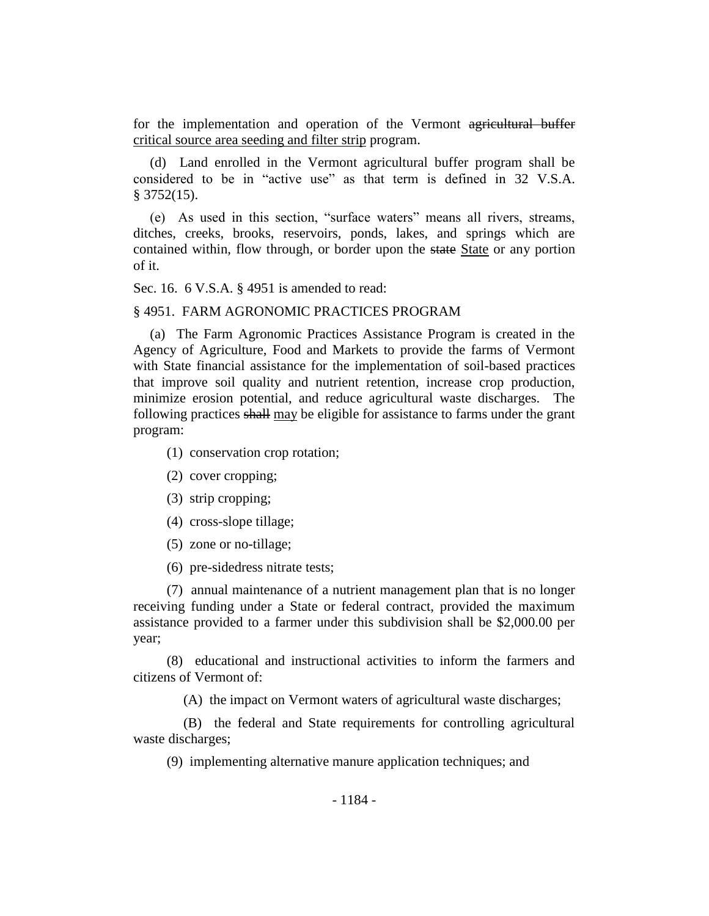for the implementation and operation of the Vermont agricultural buffer critical source area seeding and filter strip program.

(d) Land enrolled in the Vermont agricultural buffer program shall be considered to be in "active use" as that term is defined in 32 V.S.A.  $§$  3752(15).

(e) As used in this section, "surface waters" means all rivers, streams, ditches, creeks, brooks, reservoirs, ponds, lakes, and springs which are contained within, flow through, or border upon the state State or any portion of it.

Sec. 16. 6 V.S.A. § 4951 is amended to read:

#### § 4951. FARM AGRONOMIC PRACTICES PROGRAM

(a) The Farm Agronomic Practices Assistance Program is created in the Agency of Agriculture, Food and Markets to provide the farms of Vermont with State financial assistance for the implementation of soil-based practices that improve soil quality and nutrient retention, increase crop production, minimize erosion potential, and reduce agricultural waste discharges. The following practices shall may be eligible for assistance to farms under the grant program:

- (1) conservation crop rotation;
- (2) cover cropping;
- (3) strip cropping;
- (4) cross-slope tillage;
- (5) zone or no-tillage;
- (6) pre-sidedress nitrate tests;

(7) annual maintenance of a nutrient management plan that is no longer receiving funding under a State or federal contract, provided the maximum assistance provided to a farmer under this subdivision shall be \$2,000.00 per year;

(8) educational and instructional activities to inform the farmers and citizens of Vermont of:

(A) the impact on Vermont waters of agricultural waste discharges;

(B) the federal and State requirements for controlling agricultural waste discharges;

(9) implementing alternative manure application techniques; and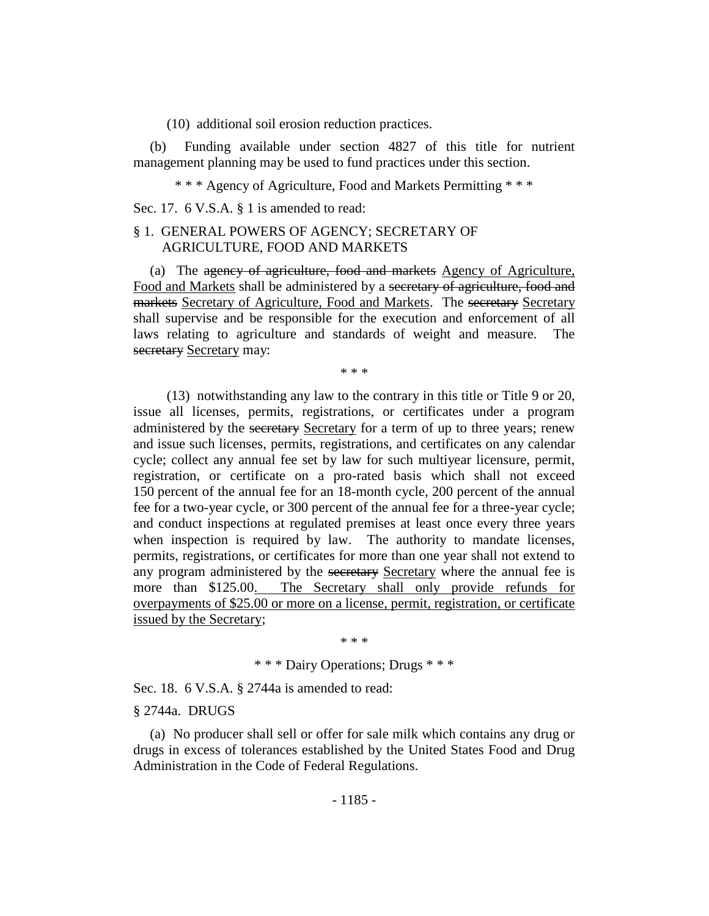(10) additional soil erosion reduction practices.

(b) Funding available under section 4827 of this title for nutrient management planning may be used to fund practices under this section.

\* \* \* Agency of Agriculture, Food and Markets Permitting \* \* \*

Sec. 17. 6 V.S.A. § 1 is amended to read:

# § 1. GENERAL POWERS OF AGENCY; SECRETARY OF AGRICULTURE, FOOD AND MARKETS

(a) The agency of agriculture, food and markets Agency of Agriculture, Food and Markets shall be administered by a secretary of agriculture, food and markets Secretary of Agriculture, Food and Markets. The secretary Secretary shall supervise and be responsible for the execution and enforcement of all laws relating to agriculture and standards of weight and measure. The secretary Secretary may:

\* \* \*

(13) notwithstanding any law to the contrary in this title or Title 9 or 20, issue all licenses, permits, registrations, or certificates under a program administered by the secretary Secretary for a term of up to three years; renew and issue such licenses, permits, registrations, and certificates on any calendar cycle; collect any annual fee set by law for such multiyear licensure, permit, registration, or certificate on a pro-rated basis which shall not exceed 150 percent of the annual fee for an 18-month cycle, 200 percent of the annual fee for a two-year cycle, or 300 percent of the annual fee for a three-year cycle; and conduct inspections at regulated premises at least once every three years when inspection is required by law. The authority to mandate licenses, permits, registrations, or certificates for more than one year shall not extend to any program administered by the secretary Secretary where the annual fee is more than \$125.00. The Secretary shall only provide refunds for overpayments of \$25.00 or more on a license, permit, registration, or certificate issued by the Secretary;

\* \* \*

\* \* \* Dairy Operations; Drugs \* \* \*

Sec. 18. 6 V.S.A. § 2744a is amended to read:

§ 2744a. DRUGS

(a) No producer shall sell or offer for sale milk which contains any drug or drugs in excess of tolerances established by the United States Food and Drug Administration in the Code of Federal Regulations.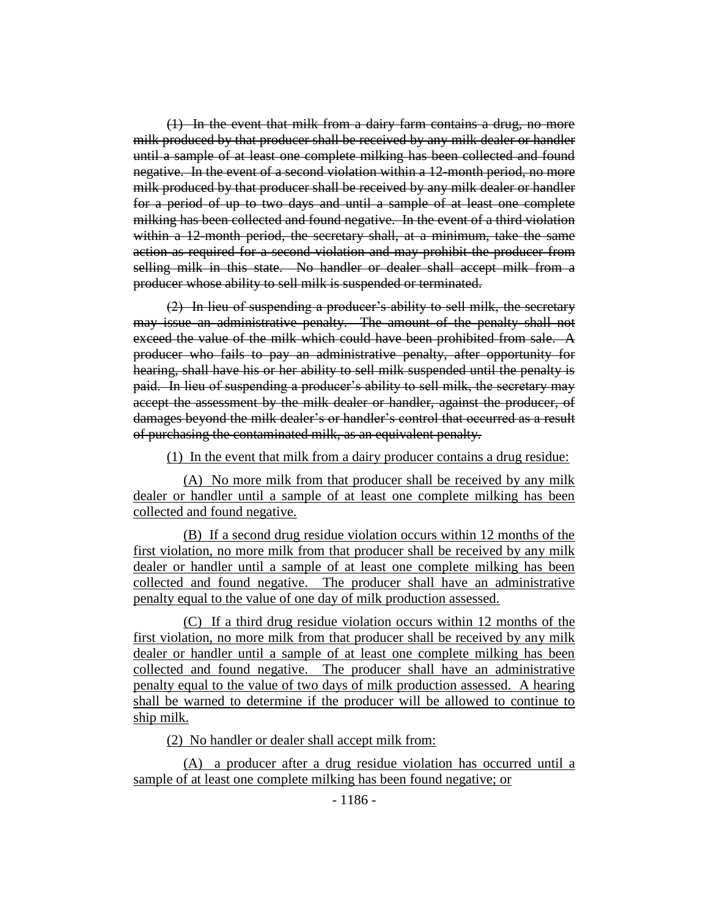(1) In the event that milk from a dairy farm contains a drug, no more milk produced by that producer shall be received by any milk dealer or handler until a sample of at least one complete milking has been collected and found negative. In the event of a second violation within a 12-month period, no more milk produced by that producer shall be received by any milk dealer or handler for a period of up to two days and until a sample of at least one complete milking has been collected and found negative. In the event of a third violation within a 12-month period, the secretary shall, at a minimum, take the same action as required for a second violation and may prohibit the producer from selling milk in this state. No handler or dealer shall accept milk from a producer whose ability to sell milk is suspended or terminated.

(2) In lieu of suspending a producer's ability to sell milk, the secretary may issue an administrative penalty. The amount of the penalty shall not exceed the value of the milk which could have been prohibited from sale. A producer who fails to pay an administrative penalty, after opportunity for hearing, shall have his or her ability to sell milk suspended until the penalty is paid. In lieu of suspending a producer's ability to sell milk, the secretary may accept the assessment by the milk dealer or handler, against the producer, of damages beyond the milk dealer's or handler's control that occurred as a result of purchasing the contaminated milk, as an equivalent penalty.

(1) In the event that milk from a dairy producer contains a drug residue:

(A) No more milk from that producer shall be received by any milk dealer or handler until a sample of at least one complete milking has been collected and found negative.

(B) If a second drug residue violation occurs within 12 months of the first violation, no more milk from that producer shall be received by any milk dealer or handler until a sample of at least one complete milking has been collected and found negative. The producer shall have an administrative penalty equal to the value of one day of milk production assessed.

(C) If a third drug residue violation occurs within 12 months of the first violation, no more milk from that producer shall be received by any milk dealer or handler until a sample of at least one complete milking has been collected and found negative. The producer shall have an administrative penalty equal to the value of two days of milk production assessed. A hearing shall be warned to determine if the producer will be allowed to continue to ship milk.

(2) No handler or dealer shall accept milk from:

(A) a producer after a drug residue violation has occurred until a sample of at least one complete milking has been found negative; or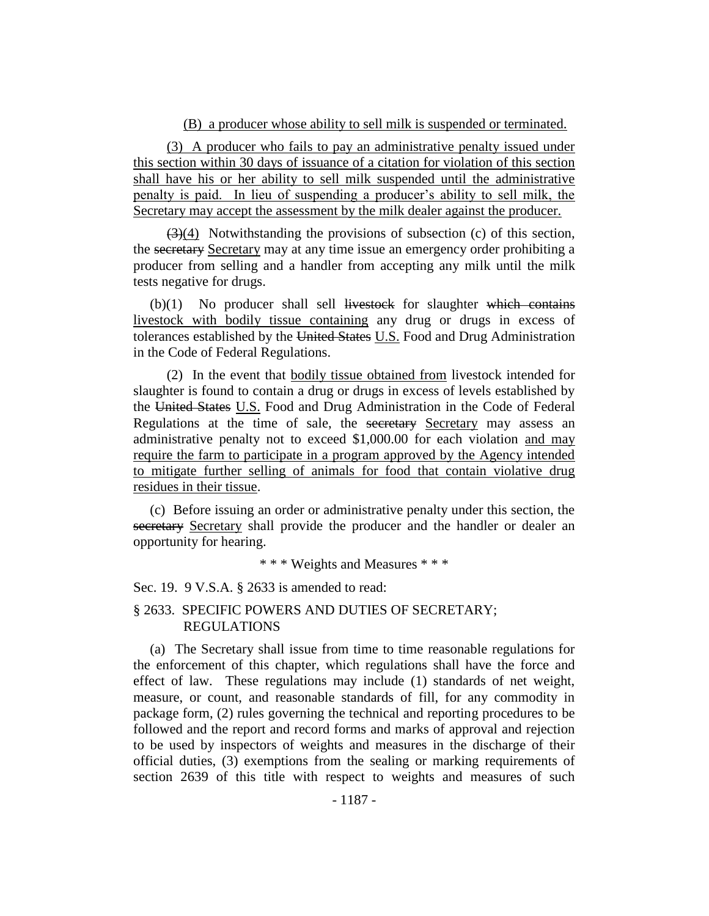#### (B) a producer whose ability to sell milk is suspended or terminated.

(3) A producer who fails to pay an administrative penalty issued under this section within 30 days of issuance of a citation for violation of this section shall have his or her ability to sell milk suspended until the administrative penalty is paid. In lieu of suspending a producer's ability to sell milk, the Secretary may accept the assessment by the milk dealer against the producer.

 $(3)(4)$  Notwithstanding the provisions of subsection (c) of this section, the secretary Secretary may at any time issue an emergency order prohibiting a producer from selling and a handler from accepting any milk until the milk tests negative for drugs.

 $(b)(1)$  No producer shall sell livestock for slaughter which contains livestock with bodily tissue containing any drug or drugs in excess of tolerances established by the United States U.S. Food and Drug Administration in the Code of Federal Regulations.

(2) In the event that bodily tissue obtained from livestock intended for slaughter is found to contain a drug or drugs in excess of levels established by the United States U.S. Food and Drug Administration in the Code of Federal Regulations at the time of sale, the secretary Secretary may assess an administrative penalty not to exceed \$1,000.00 for each violation and may require the farm to participate in a program approved by the Agency intended to mitigate further selling of animals for food that contain violative drug residues in their tissue.

(c) Before issuing an order or administrative penalty under this section, the secretary Secretary shall provide the producer and the handler or dealer an opportunity for hearing.

\* \* \* Weights and Measures \* \* \*

Sec. 19. 9 V.S.A. § 2633 is amended to read:

# § 2633. SPECIFIC POWERS AND DUTIES OF SECRETARY; REGULATIONS

(a) The Secretary shall issue from time to time reasonable regulations for the enforcement of this chapter, which regulations shall have the force and effect of law. These regulations may include (1) standards of net weight, measure, or count, and reasonable standards of fill, for any commodity in package form, (2) rules governing the technical and reporting procedures to be followed and the report and record forms and marks of approval and rejection to be used by inspectors of weights and measures in the discharge of their official duties, (3) exemptions from the sealing or marking requirements of section 2639 of this title with respect to weights and measures of such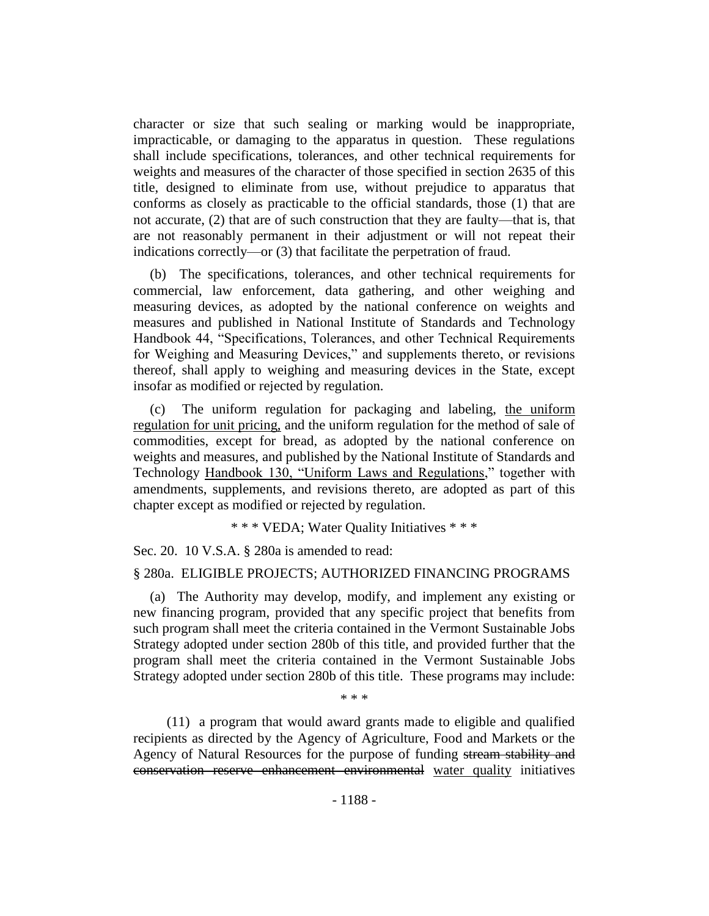character or size that such sealing or marking would be inappropriate, impracticable, or damaging to the apparatus in question. These regulations shall include specifications, tolerances, and other technical requirements for weights and measures of the character of those specified in section 2635 of this title, designed to eliminate from use, without prejudice to apparatus that conforms as closely as practicable to the official standards, those (1) that are not accurate, (2) that are of such construction that they are faulty—that is, that are not reasonably permanent in their adjustment or will not repeat their indications correctly—or (3) that facilitate the perpetration of fraud.

(b) The specifications, tolerances, and other technical requirements for commercial, law enforcement, data gathering, and other weighing and measuring devices, as adopted by the national conference on weights and measures and published in National Institute of Standards and Technology Handbook 44, "Specifications, Tolerances, and other Technical Requirements for Weighing and Measuring Devices," and supplements thereto, or revisions thereof, shall apply to weighing and measuring devices in the State, except insofar as modified or rejected by regulation.

(c) The uniform regulation for packaging and labeling, the uniform regulation for unit pricing, and the uniform regulation for the method of sale of commodities, except for bread, as adopted by the national conference on weights and measures, and published by the National Institute of Standards and Technology Handbook 130, "Uniform Laws and Regulations," together with amendments, supplements, and revisions thereto, are adopted as part of this chapter except as modified or rejected by regulation.

\* \* \* VEDA; Water Quality Initiatives \* \* \*

Sec. 20. 10 V.S.A. § 280a is amended to read:

#### § 280a. ELIGIBLE PROJECTS; AUTHORIZED FINANCING PROGRAMS

(a) The Authority may develop, modify, and implement any existing or new financing program, provided that any specific project that benefits from such program shall meet the criteria contained in the Vermont Sustainable Jobs Strategy adopted under section 280b of this title, and provided further that the program shall meet the criteria contained in the Vermont Sustainable Jobs Strategy adopted under section 280b of this title. These programs may include:

\* \* \*

(11) a program that would award grants made to eligible and qualified recipients as directed by the Agency of Agriculture, Food and Markets or the Agency of Natural Resources for the purpose of funding stream stability and conservation reserve enhancement environmental water quality initiatives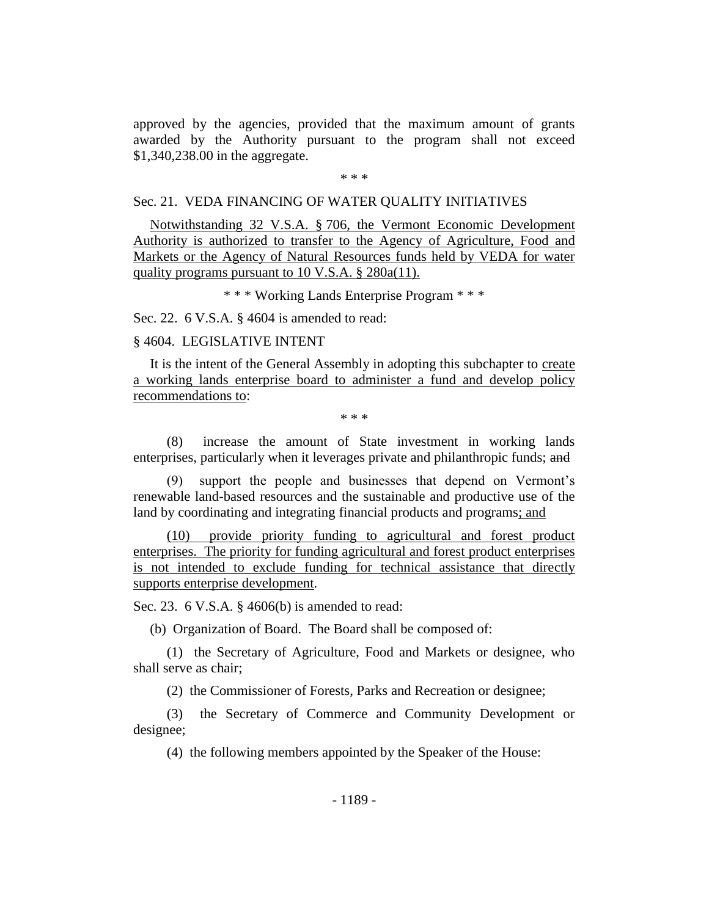approved by the agencies, provided that the maximum amount of grants awarded by the Authority pursuant to the program shall not exceed \$1,340,238.00 in the aggregate.

\* \* \*

#### Sec. 21. VEDA FINANCING OF WATER QUALITY INITIATIVES

Notwithstanding 32 V.S.A. § 706, the Vermont Economic Development Authority is authorized to transfer to the Agency of Agriculture, Food and Markets or the Agency of Natural Resources funds held by VEDA for water quality programs pursuant to 10 V.S.A. § 280a(11).

\* \* \* Working Lands Enterprise Program \* \* \*

Sec. 22. 6 V.S.A. § 4604 is amended to read:

## § 4604. LEGISLATIVE INTENT

It is the intent of the General Assembly in adopting this subchapter to create a working lands enterprise board to administer a fund and develop policy recommendations to:

\* \* \*

(8) increase the amount of State investment in working lands enterprises, particularly when it leverages private and philanthropic funds; and

(9) support the people and businesses that depend on Vermont's renewable land-based resources and the sustainable and productive use of the land by coordinating and integrating financial products and programs; and

(10) provide priority funding to agricultural and forest product enterprises. The priority for funding agricultural and forest product enterprises is not intended to exclude funding for technical assistance that directly supports enterprise development.

Sec. 23. 6 V.S.A. § 4606(b) is amended to read:

(b) Organization of Board. The Board shall be composed of:

(1) the Secretary of Agriculture, Food and Markets or designee, who shall serve as chair;

(2) the Commissioner of Forests, Parks and Recreation or designee;

(3) the Secretary of Commerce and Community Development or designee;

(4) the following members appointed by the Speaker of the House: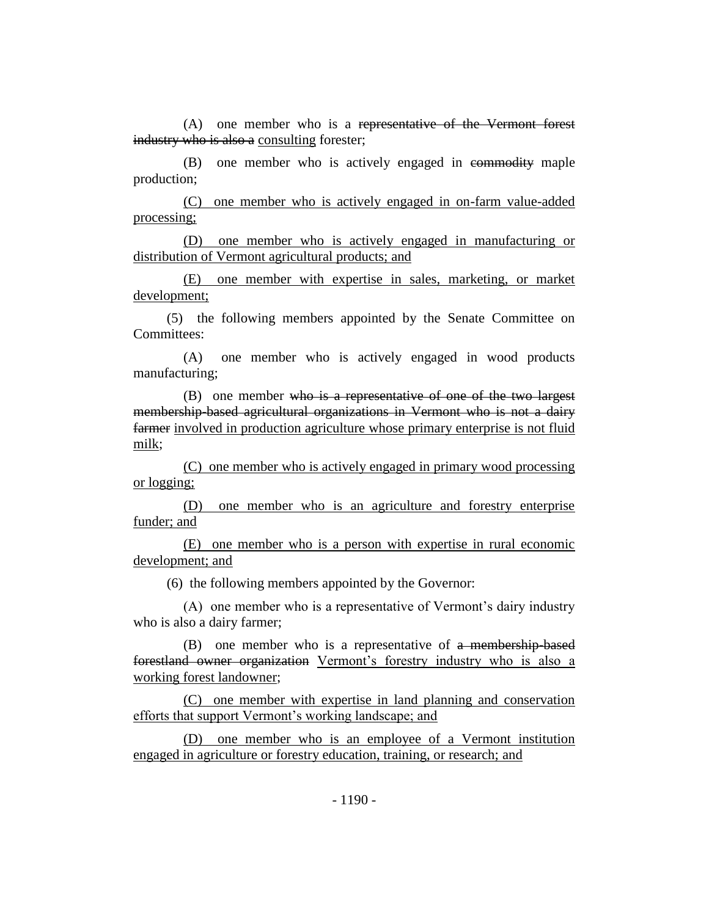(A) one member who is a representative of the Vermont forest industry who is also a consulting forester;

(B) one member who is actively engaged in commodity maple production;

(C) one member who is actively engaged in on-farm value-added processing;

(D) one member who is actively engaged in manufacturing or distribution of Vermont agricultural products; and

(E) one member with expertise in sales, marketing, or market development;

(5) the following members appointed by the Senate Committee on Committees:

(A) one member who is actively engaged in wood products manufacturing;

(B) one member who is a representative of one of the two largest membership-based agricultural organizations in Vermont who is not a dairy farmer involved in production agriculture whose primary enterprise is not fluid milk;

(C) one member who is actively engaged in primary wood processing or logging;

(D) one member who is an agriculture and forestry enterprise funder; and

(E) one member who is a person with expertise in rural economic development; and

(6) the following members appointed by the Governor:

(A) one member who is a representative of Vermont's dairy industry who is also a dairy farmer;

(B) one member who is a representative of a membership-based forestland owner organization Vermont's forestry industry who is also a working forest landowner;

(C) one member with expertise in land planning and conservation efforts that support Vermont's working landscape; and

(D) one member who is an employee of a Vermont institution engaged in agriculture or forestry education, training, or research; and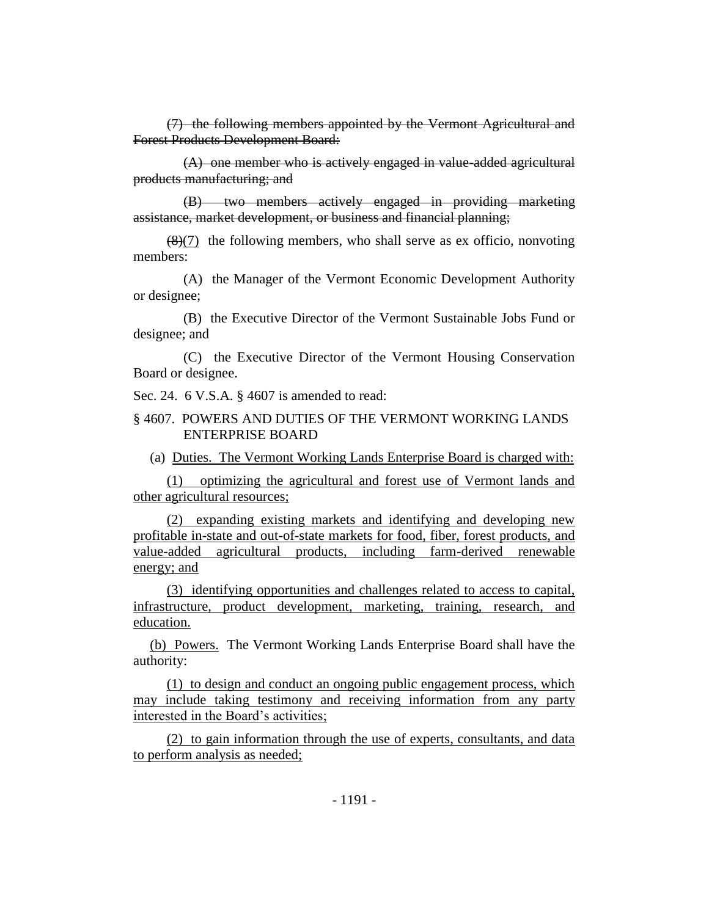(7) the following members appointed by the Vermont Agricultural and Forest Products Development Board:

(A) one member who is actively engaged in value-added agricultural products manufacturing; and

(B) two members actively engaged in providing marketing assistance, market development, or business and financial planning;

 $(8)(7)$  the following members, who shall serve as ex officio, nonvoting members:

(A) the Manager of the Vermont Economic Development Authority or designee;

(B) the Executive Director of the Vermont Sustainable Jobs Fund or designee; and

(C) the Executive Director of the Vermont Housing Conservation Board or designee.

Sec. 24. 6 V.S.A. § 4607 is amended to read:

# § 4607. POWERS AND DUTIES OF THE VERMONT WORKING LANDS ENTERPRISE BOARD

(a) Duties. The Vermont Working Lands Enterprise Board is charged with:

(1) optimizing the agricultural and forest use of Vermont lands and other agricultural resources;

(2) expanding existing markets and identifying and developing new profitable in-state and out-of-state markets for food, fiber, forest products, and value-added agricultural products, including farm-derived renewable energy; and

(3) identifying opportunities and challenges related to access to capital, infrastructure, product development, marketing, training, research, and education.

(b) Powers. The Vermont Working Lands Enterprise Board shall have the authority:

(1) to design and conduct an ongoing public engagement process, which may include taking testimony and receiving information from any party interested in the Board's activities;

(2) to gain information through the use of experts, consultants, and data to perform analysis as needed;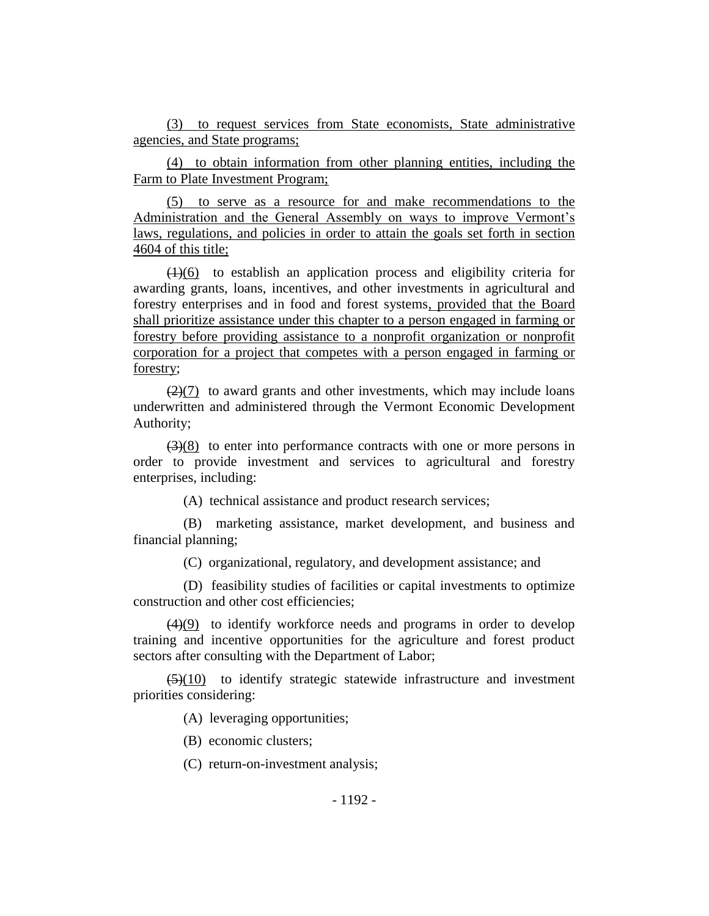(3) to request services from State economists, State administrative agencies, and State programs;

(4) to obtain information from other planning entities, including the Farm to Plate Investment Program;

(5) to serve as a resource for and make recommendations to the Administration and the General Assembly on ways to improve Vermont's laws, regulations, and policies in order to attain the goals set forth in section 4604 of this title;

 $(1)(6)$  to establish an application process and eligibility criteria for awarding grants, loans, incentives, and other investments in agricultural and forestry enterprises and in food and forest systems, provided that the Board shall prioritize assistance under this chapter to a person engaged in farming or forestry before providing assistance to a nonprofit organization or nonprofit corporation for a project that competes with a person engaged in farming or forestry;

 $(2)(7)$  to award grants and other investments, which may include loans underwritten and administered through the Vermont Economic Development Authority;

 $(3)(8)$  to enter into performance contracts with one or more persons in order to provide investment and services to agricultural and forestry enterprises, including:

(A) technical assistance and product research services;

(B) marketing assistance, market development, and business and financial planning;

(C) organizational, regulatory, and development assistance; and

(D) feasibility studies of facilities or capital investments to optimize construction and other cost efficiencies;

(4)(9) to identify workforce needs and programs in order to develop training and incentive opportunities for the agriculture and forest product sectors after consulting with the Department of Labor;

 $(5)(10)$  to identify strategic statewide infrastructure and investment priorities considering:

(A) leveraging opportunities;

(B) economic clusters;

(C) return-on-investment analysis;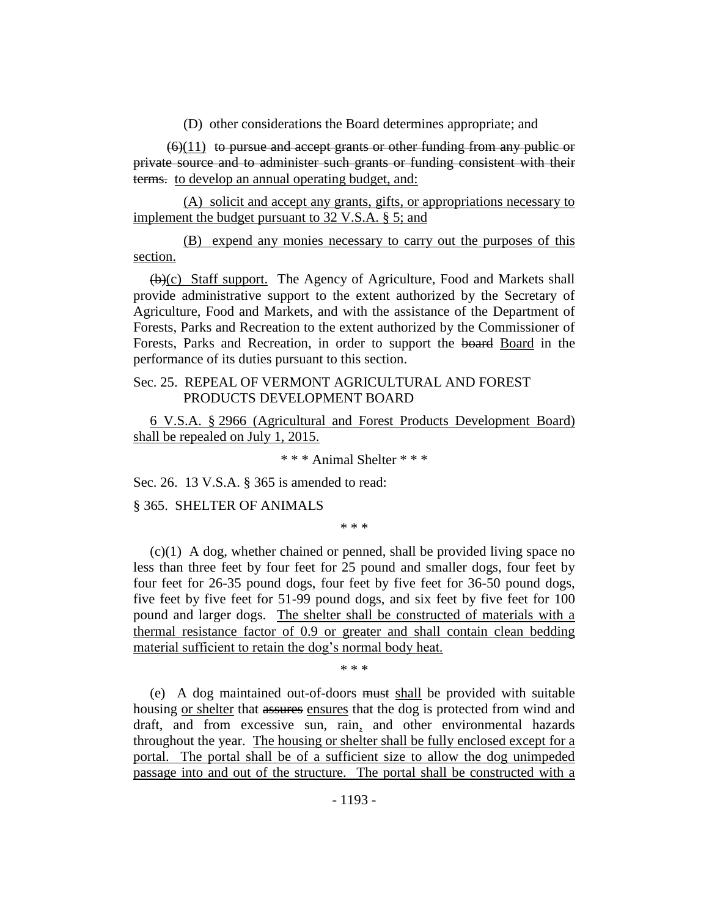(D) other considerations the Board determines appropriate; and

 $(6)(11)$  to pursue and accept grants or other funding from any public or private source and to administer such grants or funding consistent with their terms. to develop an annual operating budget, and:

(A) solicit and accept any grants, gifts, or appropriations necessary to implement the budget pursuant to 32 V.S.A. § 5; and

(B) expend any monies necessary to carry out the purposes of this section.

(b)(c) Staff support. The Agency of Agriculture, Food and Markets shall provide administrative support to the extent authorized by the Secretary of Agriculture, Food and Markets, and with the assistance of the Department of Forests, Parks and Recreation to the extent authorized by the Commissioner of Forests, Parks and Recreation, in order to support the board Board in the performance of its duties pursuant to this section.

# Sec. 25. REPEAL OF VERMONT AGRICULTURAL AND FOREST PRODUCTS DEVELOPMENT BOARD

6 V.S.A. § 2966 (Agricultural and Forest Products Development Board) shall be repealed on July 1, 2015.

\* \* \* Animal Shelter \* \* \*

Sec. 26. 13 V.S.A. § 365 is amended to read:

§ 365. SHELTER OF ANIMALS

\* \* \*

(c)(1) A dog, whether chained or penned, shall be provided living space no less than three feet by four feet for 25 pound and smaller dogs, four feet by four feet for 26-35 pound dogs, four feet by five feet for 36-50 pound dogs, five feet by five feet for 51-99 pound dogs, and six feet by five feet for 100 pound and larger dogs. The shelter shall be constructed of materials with a thermal resistance factor of 0.9 or greater and shall contain clean bedding material sufficient to retain the dog's normal body heat.

\* \* \*

(e) A dog maintained out-of-doors must shall be provided with suitable housing or shelter that assures ensures that the dog is protected from wind and draft, and from excessive sun, rain, and other environmental hazards throughout the year. The housing or shelter shall be fully enclosed except for a portal. The portal shall be of a sufficient size to allow the dog unimpeded passage into and out of the structure. The portal shall be constructed with a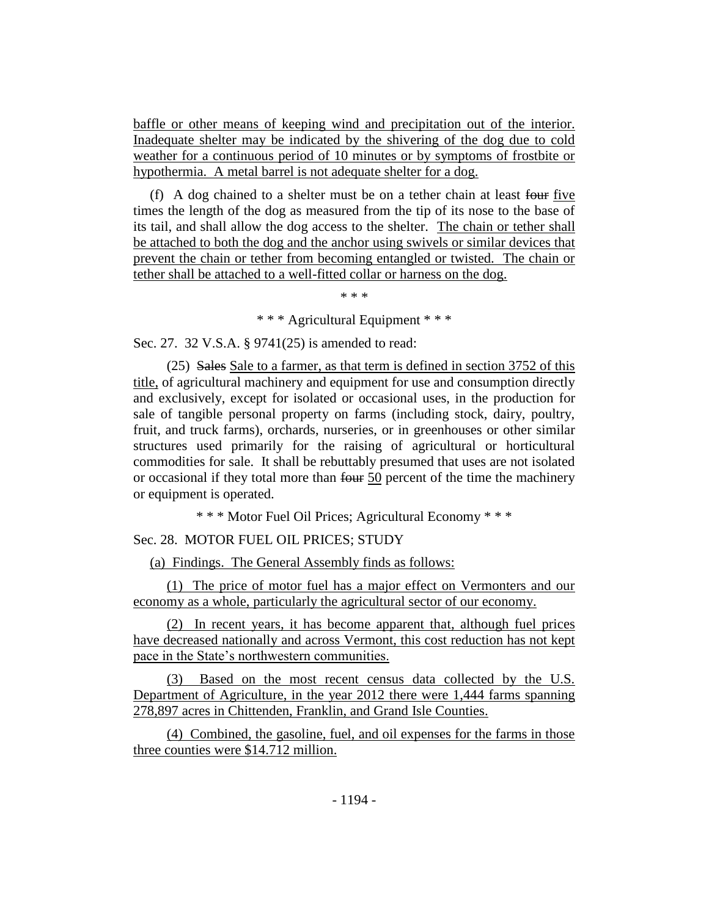baffle or other means of keeping wind and precipitation out of the interior. Inadequate shelter may be indicated by the shivering of the dog due to cold weather for a continuous period of 10 minutes or by symptoms of frostbite or hypothermia. A metal barrel is not adequate shelter for a dog.

(f) A dog chained to a shelter must be on a tether chain at least four five times the length of the dog as measured from the tip of its nose to the base of its tail, and shall allow the dog access to the shelter. The chain or tether shall be attached to both the dog and the anchor using swivels or similar devices that prevent the chain or tether from becoming entangled or twisted. The chain or tether shall be attached to a well-fitted collar or harness on the dog.

\* \* \*

\* \* \* Agricultural Equipment \* \* \*

Sec. 27. 32 V.S.A. § 9741(25) is amended to read:

 $(25)$  Sales Sale to a farmer, as that term is defined in section 3752 of this title, of agricultural machinery and equipment for use and consumption directly and exclusively, except for isolated or occasional uses, in the production for sale of tangible personal property on farms (including stock, dairy, poultry, fruit, and truck farms), orchards, nurseries, or in greenhouses or other similar structures used primarily for the raising of agricultural or horticultural commodities for sale. It shall be rebuttably presumed that uses are not isolated or occasional if they total more than four 50 percent of the time the machinery or equipment is operated.

\* \* \* Motor Fuel Oil Prices; Agricultural Economy \* \* \*

Sec. 28. MOTOR FUEL OIL PRICES; STUDY

(a) Findings. The General Assembly finds as follows:

(1) The price of motor fuel has a major effect on Vermonters and our economy as a whole, particularly the agricultural sector of our economy.

(2) In recent years, it has become apparent that, although fuel prices have decreased nationally and across Vermont, this cost reduction has not kept pace in the State's northwestern communities.

(3) Based on the most recent census data collected by the U.S. Department of Agriculture, in the year 2012 there were 1,444 farms spanning 278,897 acres in Chittenden, Franklin, and Grand Isle Counties.

(4) Combined, the gasoline, fuel, and oil expenses for the farms in those three counties were \$14.712 million.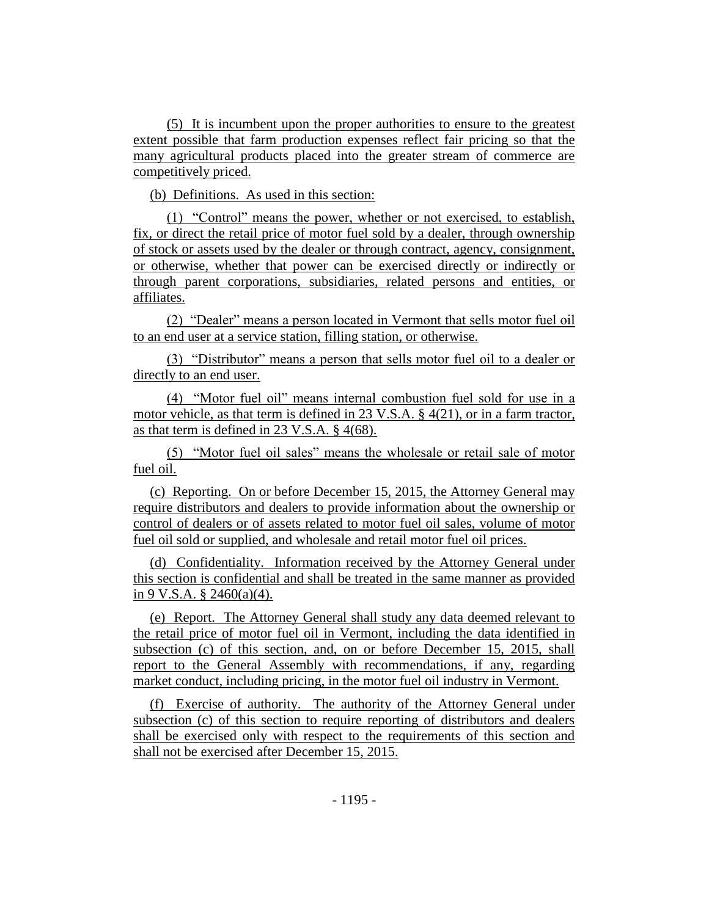(5) It is incumbent upon the proper authorities to ensure to the greatest extent possible that farm production expenses reflect fair pricing so that the many agricultural products placed into the greater stream of commerce are competitively priced.

(b) Definitions. As used in this section:

(1) "Control" means the power, whether or not exercised, to establish, fix, or direct the retail price of motor fuel sold by a dealer, through ownership of stock or assets used by the dealer or through contract, agency, consignment, or otherwise, whether that power can be exercised directly or indirectly or through parent corporations, subsidiaries, related persons and entities, or affiliates.

(2) "Dealer" means a person located in Vermont that sells motor fuel oil to an end user at a service station, filling station, or otherwise.

(3) "Distributor" means a person that sells motor fuel oil to a dealer or directly to an end user.

(4) "Motor fuel oil" means internal combustion fuel sold for use in a motor vehicle, as that term is defined in 23 V.S.A. § 4(21), or in a farm tractor, as that term is defined in 23 V.S.A. § 4(68).

(5) "Motor fuel oil sales" means the wholesale or retail sale of motor fuel oil.

(c) Reporting. On or before December 15, 2015, the Attorney General may require distributors and dealers to provide information about the ownership or control of dealers or of assets related to motor fuel oil sales, volume of motor fuel oil sold or supplied, and wholesale and retail motor fuel oil prices.

(d) Confidentiality. Information received by the Attorney General under this section is confidential and shall be treated in the same manner as provided in 9 V.S.A. § 2460(a)(4).

(e) Report. The Attorney General shall study any data deemed relevant to the retail price of motor fuel oil in Vermont, including the data identified in subsection (c) of this section, and, on or before December 15, 2015, shall report to the General Assembly with recommendations, if any, regarding market conduct, including pricing, in the motor fuel oil industry in Vermont.

(f) Exercise of authority. The authority of the Attorney General under subsection (c) of this section to require reporting of distributors and dealers shall be exercised only with respect to the requirements of this section and shall not be exercised after December 15, 2015.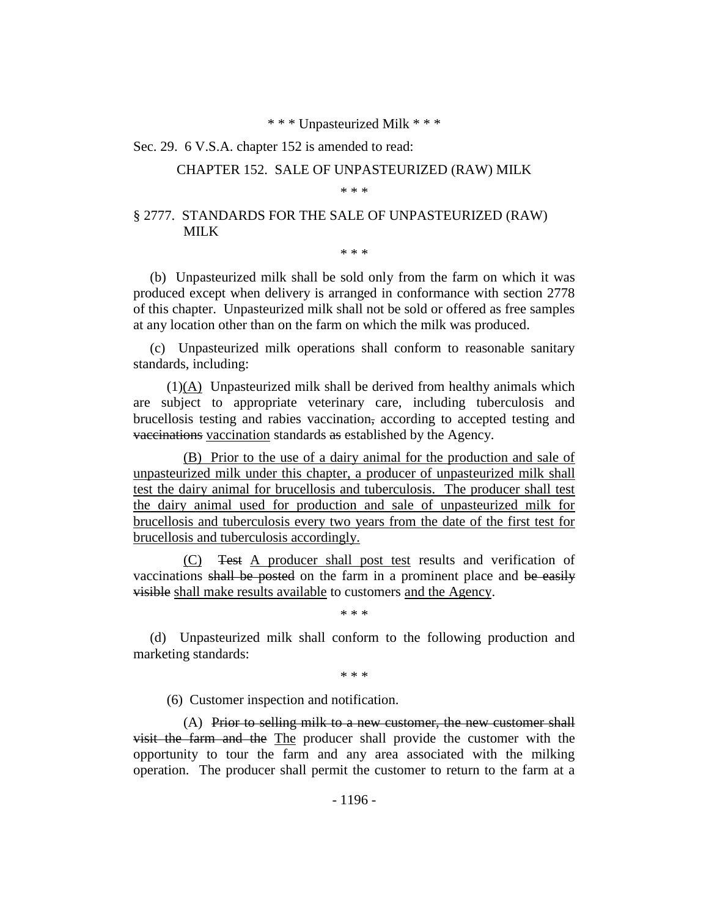#### \* \* \* Unpasteurized Milk \* \* \*

#### Sec. 29. 6 V.S.A. chapter 152 is amended to read:

#### CHAPTER 152. SALE OF UNPASTEURIZED (RAW) MILK

#### \* \* \*

# § 2777. STANDARDS FOR THE SALE OF UNPASTEURIZED (RAW) MILK

\* \* \*

(b) Unpasteurized milk shall be sold only from the farm on which it was produced except when delivery is arranged in conformance with section 2778 of this chapter. Unpasteurized milk shall not be sold or offered as free samples at any location other than on the farm on which the milk was produced.

(c) Unpasteurized milk operations shall conform to reasonable sanitary standards, including:

(1)(A) Unpasteurized milk shall be derived from healthy animals which are subject to appropriate veterinary care, including tuberculosis and brucellosis testing and rabies vaccination, according to accepted testing and vaccinations vaccination standards as established by the Agency.

(B) Prior to the use of a dairy animal for the production and sale of unpasteurized milk under this chapter, a producer of unpasteurized milk shall test the dairy animal for brucellosis and tuberculosis. The producer shall test the dairy animal used for production and sale of unpasteurized milk for brucellosis and tuberculosis every two years from the date of the first test for brucellosis and tuberculosis accordingly.

(C) Test A producer shall post test results and verification of vaccinations shall be posted on the farm in a prominent place and be easily visible shall make results available to customers and the Agency.

\* \* \*

(d) Unpasteurized milk shall conform to the following production and marketing standards:

\* \* \*

(6) Customer inspection and notification.

(A) Prior to selling milk to a new customer, the new customer shall visit the farm and the The producer shall provide the customer with the opportunity to tour the farm and any area associated with the milking operation. The producer shall permit the customer to return to the farm at a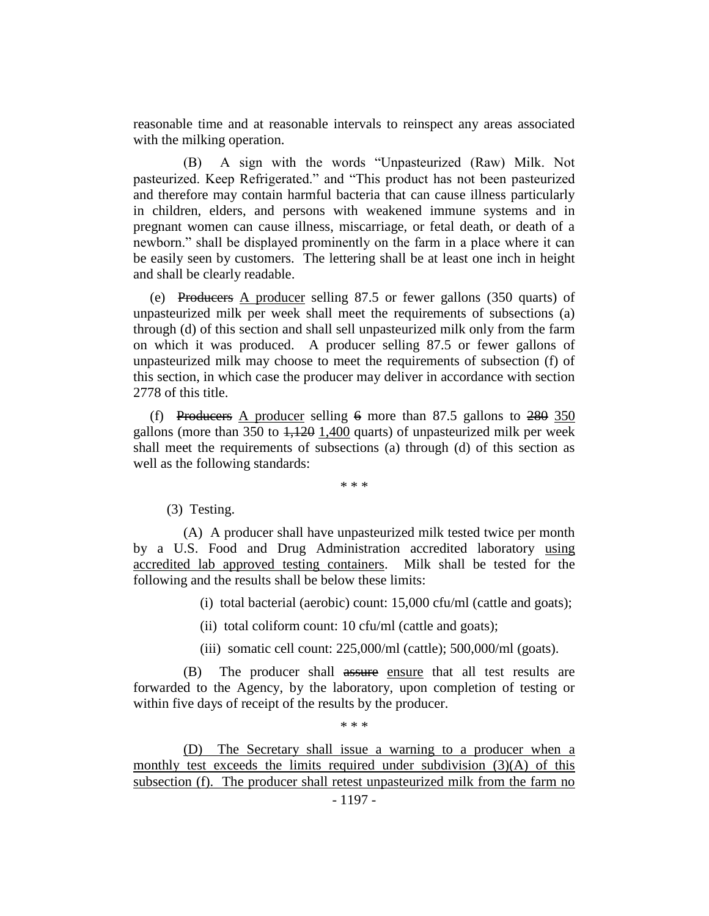reasonable time and at reasonable intervals to reinspect any areas associated with the milking operation.

(B) A sign with the words "Unpasteurized (Raw) Milk. Not pasteurized. Keep Refrigerated." and "This product has not been pasteurized and therefore may contain harmful bacteria that can cause illness particularly in children, elders, and persons with weakened immune systems and in pregnant women can cause illness, miscarriage, or fetal death, or death of a newborn." shall be displayed prominently on the farm in a place where it can be easily seen by customers. The lettering shall be at least one inch in height and shall be clearly readable.

(e) Producers A producer selling 87.5 or fewer gallons (350 quarts) of unpasteurized milk per week shall meet the requirements of subsections (a) through (d) of this section and shall sell unpasteurized milk only from the farm on which it was produced. A producer selling 87.5 or fewer gallons of unpasteurized milk may choose to meet the requirements of subsection (f) of this section, in which case the producer may deliver in accordance with section 2778 of this title.

(f) Producers A producer selling  $6 \text{ more than } 87.5 \text{ gallons to } 280,350$ gallons (more than 350 to  $1,120$  1,400 quarts) of unpasteurized milk per week shall meet the requirements of subsections (a) through (d) of this section as well as the following standards:

\* \* \*

(3) Testing.

(A) A producer shall have unpasteurized milk tested twice per month by a U.S. Food and Drug Administration accredited laboratory using accredited lab approved testing containers. Milk shall be tested for the following and the results shall be below these limits:

(i) total bacterial (aerobic) count: 15,000 cfu/ml (cattle and goats);

(ii) total coliform count: 10 cfu/ml (cattle and goats);

(iii) somatic cell count: 225,000/ml (cattle); 500,000/ml (goats).

(B) The producer shall assure ensure that all test results are forwarded to the Agency, by the laboratory, upon completion of testing or within five days of receipt of the results by the producer.

\* \* \*

(D) The Secretary shall issue a warning to a producer when a monthly test exceeds the limits required under subdivision  $(3)(A)$  of this subsection (f). The producer shall retest unpasteurized milk from the farm no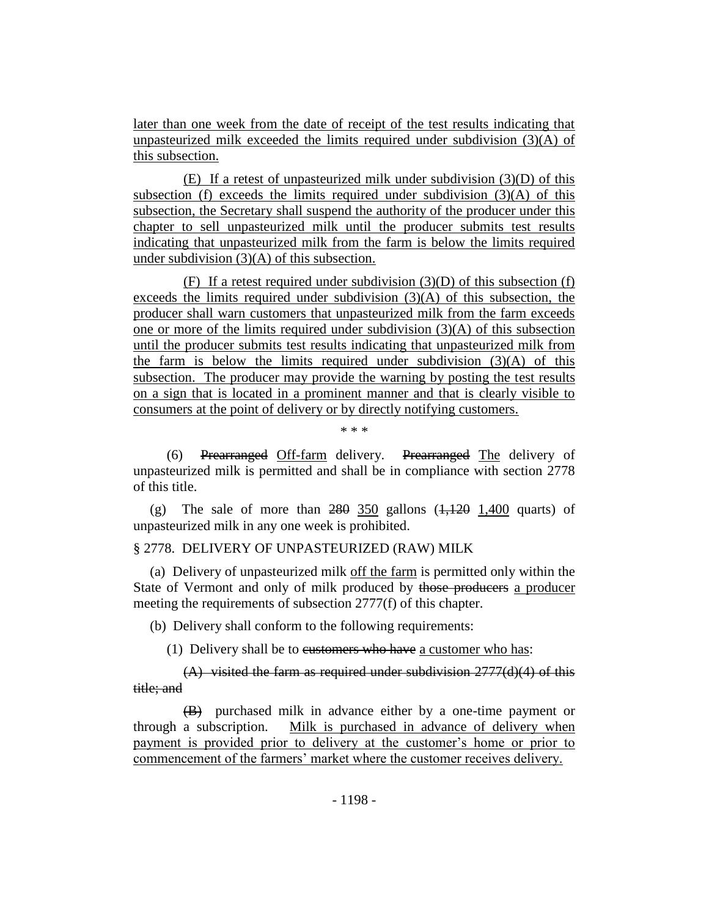later than one week from the date of receipt of the test results indicating that unpasteurized milk exceeded the limits required under subdivision (3)(A) of this subsection.

(E) If a retest of unpasteurized milk under subdivision (3)(D) of this subsection (f) exceeds the limits required under subdivision  $(3)(A)$  of this subsection, the Secretary shall suspend the authority of the producer under this chapter to sell unpasteurized milk until the producer submits test results indicating that unpasteurized milk from the farm is below the limits required under subdivision (3)(A) of this subsection.

(F) If a retest required under subdivision  $(3)(D)$  of this subsection (f) exceeds the limits required under subdivision  $(3)(A)$  of this subsection, the producer shall warn customers that unpasteurized milk from the farm exceeds one or more of the limits required under subdivision (3)(A) of this subsection until the producer submits test results indicating that unpasteurized milk from the farm is below the limits required under subdivision  $(3)(A)$  of this subsection. The producer may provide the warning by posting the test results on a sign that is located in a prominent manner and that is clearly visible to consumers at the point of delivery or by directly notifying customers.

\* \* \*

(6) Prearranged Off-farm delivery. Prearranged The delivery of unpasteurized milk is permitted and shall be in compliance with section 2778 of this title.

(g) The sale of more than  $280$   $350$  gallons  $(1,120$   $1,400$  quarts) of unpasteurized milk in any one week is prohibited.

# § 2778. DELIVERY OF UNPASTEURIZED (RAW) MILK

(a) Delivery of unpasteurized milk off the farm is permitted only within the State of Vermont and only of milk produced by those producers a producer meeting the requirements of subsection 2777(f) of this chapter.

(b) Delivery shall conform to the following requirements:

(1) Delivery shall be to eustomers who have a customer who has:

 $(A)$  visited the farm as required under subdivision  $2777(d)(4)$  of this title; and

(B) purchased milk in advance either by a one-time payment or through a subscription. Milk is purchased in advance of delivery when payment is provided prior to delivery at the customer's home or prior to commencement of the farmers' market where the customer receives delivery.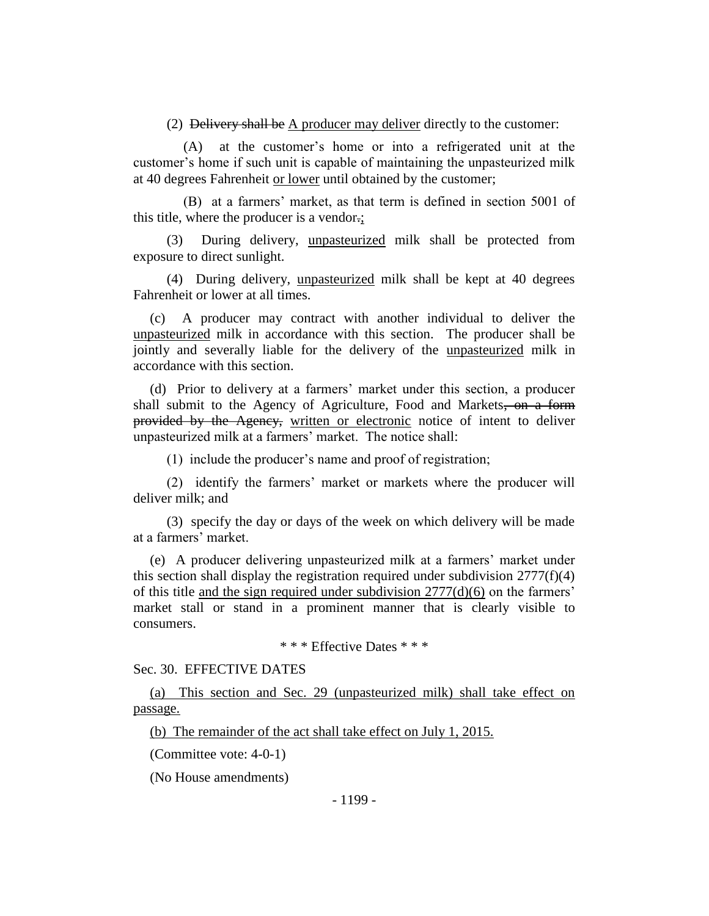(2) Delivery shall be A producer may deliver directly to the customer:

(A) at the customer's home or into a refrigerated unit at the customer's home if such unit is capable of maintaining the unpasteurized milk at 40 degrees Fahrenheit or lower until obtained by the customer;

(B) at a farmers' market, as that term is defined in section 5001 of this title, where the producer is a vendor.;

(3) During delivery, unpasteurized milk shall be protected from exposure to direct sunlight.

(4) During delivery, unpasteurized milk shall be kept at 40 degrees Fahrenheit or lower at all times.

(c) A producer may contract with another individual to deliver the unpasteurized milk in accordance with this section. The producer shall be jointly and severally liable for the delivery of the unpasteurized milk in accordance with this section.

(d) Prior to delivery at a farmers' market under this section, a producer shall submit to the Agency of Agriculture, Food and Markets, on a form provided by the Agency, written or electronic notice of intent to deliver unpasteurized milk at a farmers' market. The notice shall:

(1) include the producer's name and proof of registration;

(2) identify the farmers' market or markets where the producer will deliver milk; and

(3) specify the day or days of the week on which delivery will be made at a farmers' market.

(e) A producer delivering unpasteurized milk at a farmers' market under this section shall display the registration required under subdivision  $2777(f)(4)$ of this title and the sign required under subdivision 2777(d)(6) on the farmers' market stall or stand in a prominent manner that is clearly visible to consumers.

\* \* \* Effective Dates \* \* \*

#### Sec. 30. EFFECTIVE DATES

(a) This section and Sec. 29 (unpasteurized milk) shall take effect on passage.

(b) The remainder of the act shall take effect on July 1, 2015.

(Committee vote: 4-0-1)

(No House amendments)